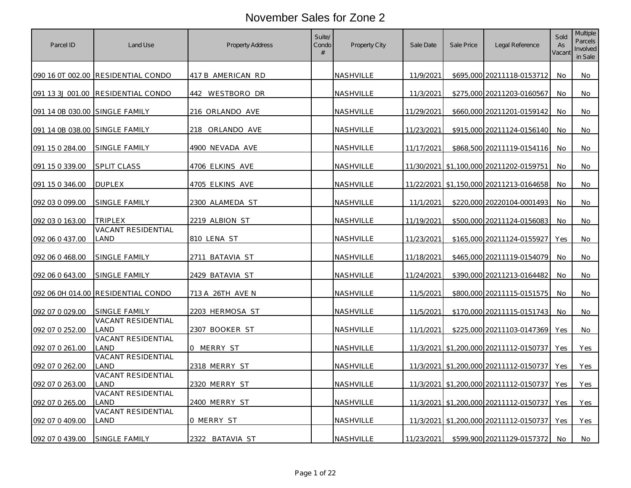| Parcel ID                      | Land Use                           | <b>Property Address</b> | Suite/<br>Condo<br># | Property City    | Sale Date  | Sale Price | Legal Reference                         | Sold<br>As<br>Vacant | <b>Multiple</b><br>Parcels<br>Involved<br>in Sale |
|--------------------------------|------------------------------------|-------------------------|----------------------|------------------|------------|------------|-----------------------------------------|----------------------|---------------------------------------------------|
|                                | 090 16 0T 002.00 RESIDENTIAL CONDO | 417 B AMERICAN RD       |                      | NASHVILLE        | 11/9/2021  |            | \$695,000 20211118-0153712              | No.                  | No                                                |
| 091 13 3J 001.00               | <b>RESIDENTIAL CONDO</b>           | 442 WESTBORO DR         |                      | NASHVILLE        | 11/3/2021  |            | \$275,000 20211203-0160567              | No.                  | No                                                |
| 091 14 0B 030.00 SINGLE FAMILY |                                    | 216 ORLANDO AVE         |                      | NASHVILLE        | 11/29/2021 |            | \$660,000 20211201-0159142              | No                   | No                                                |
| 091 14 0B 038.00 SINGLE FAMILY |                                    | 218 ORLANDO AVE         |                      | NASHVILLE        | 11/23/2021 |            | \$915,000 20211124-0156140              | No.                  | No                                                |
| 091 15 0 284.00                | SINGLE FAMILY                      | 4900 NEVADA AVE         |                      | NASHVILLE        | 11/17/2021 |            | \$868,500 20211119-0154116              | No                   | No                                                |
| 091 15 0 339.00                | <b>SPLIT CLASS</b>                 | 4706 ELKINS AVE         |                      | NASHVILLE        |            |            | 11/30/2021 \$1,100,000 20211202-0159751 | No.                  | No                                                |
| 091 15 0 346.00                | <b>DUPLEX</b>                      | 4705 ELKINS AVE         |                      | NASHVILLE        |            |            | 11/22/2021 \$1,150,000 20211213-0164658 | <b>No</b>            | No                                                |
| 092 03 0 099.00                | SINGLE FAMILY                      | 2300 ALAMEDA ST         |                      | NASHVILLE        | 11/1/2021  |            | \$220,000 20220104-0001493              | No                   | No                                                |
| 092 03 0 163.00                | TRIPLEX                            | 2219 ALBION ST          |                      | NASHVILLE        | 11/19/2021 |            | \$500,000 20211124-0156083              | No.                  | No                                                |
| 092 06 0 437.00                | VACANT RESIDENTIAL<br>LAND         | 810 LENA ST             |                      | NASHVILLE        | 11/23/2021 |            | \$165,000 20211124-0155927              | Yes                  | No                                                |
| 092 06 0 468.00                | SINGLE FAMILY                      | <u>2711 BATAVIA ST</u>  |                      | <u>NASHVILLE</u> | 11/18/2021 |            | \$465,000 20211119-0154079              | No                   | No                                                |
| 092 06 0 643.00                | SINGLE FAMILY                      | 2429 BATAVIA ST         |                      | NASHVILLE        | 11/24/2021 |            | \$390,000 20211213-0164482              | No                   | No                                                |
|                                | 092 06 0H 014.00 RESIDENTIAL CONDO | 713 A 26TH AVE N        |                      | NASHVILLE        | 11/5/2021  |            | \$800,000 20211115-0151575              | No                   | No                                                |
| 092 07 0 029.00                | SINGLE FAMILY                      | 2203 HERMOSA ST         |                      | NASHVILLE        | 11/5/2021  |            | \$170,000 20211115-0151743              | No                   | No                                                |
| 092 07 0 252.00                | <b>VACANT RESIDENTIAL</b><br>LAND  | 2307 BOOKER ST          |                      | NASHVILLE        | 11/1/2021  |            | \$225,000 20211103-0147369              | Yes                  | No                                                |
| 092 07 0 261.00                | <b>VACANT RESIDENTIAL</b><br>LAND  | 0 MERRY ST              |                      | NASHVILLE        |            |            | 11/3/2021 \$1,200,000 20211112-0150737  | Yes                  | Yes                                               |
| 092 07 0 262.00                | VACANT RESIDENTIAL<br>LAND         | 2318 MERRY ST           |                      | NASHVILLE        |            |            | 11/3/2021 \$1,200,000 20211112-0150737  | Yes                  | Yes                                               |
| 092 07 0 263.00                | <b>VACANT RESIDENTIAL</b><br>LAND  | 2320 MERRY ST           |                      | NASHVILLE        |            |            | 11/3/2021 \$1,200,000 20211112-0150737  | Yes                  | Yes                                               |
| 092 07 0 265.00                | VACANT RESIDENTIAL<br>LAND         | 2400 MERRY ST           |                      | NASHVILLE        |            |            | 11/3/2021 \$1,200,000 20211112-0150737  | Yes                  | Yes                                               |
| 092 07 0 409.00                | VACANT RESIDENTIAL<br>LAND         | 0 MERRY ST              |                      | NASHVILLE        |            |            | 11/3/2021 \$1,200,000 20211112-0150737  | Yes                  | Yes                                               |
| 092 07 0 439.00                | SINGLE FAMILY                      | 2322 BATAVIA ST         |                      | NASHVILLE        | 11/23/2021 |            | \$599,900 20211129-0157372              | No.                  | No                                                |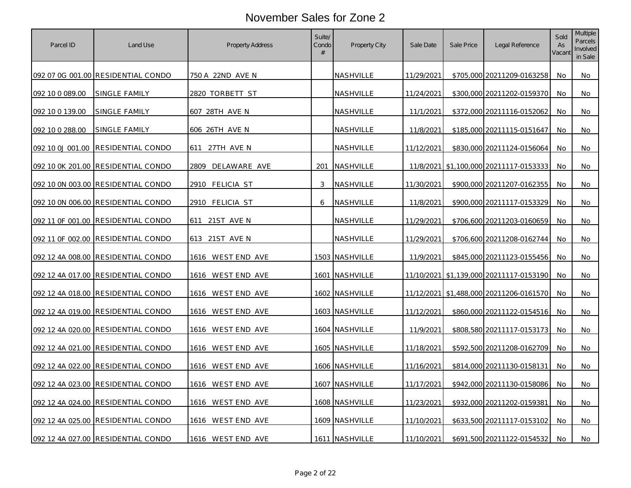| Parcel ID       | Land Use                           | <b>Property Address</b> | Suite/<br>Condo<br># | Property City  | Sale Date  | Sale Price | Legal Reference                         | Sold<br>As<br>Vacant | Multiple<br><b>Parcels</b><br>Involved<br>in Sale |
|-----------------|------------------------------------|-------------------------|----------------------|----------------|------------|------------|-----------------------------------------|----------------------|---------------------------------------------------|
|                 | 092 07 0G 001.00 RESIDENTIAL CONDO | 750 A 22ND AVE N        |                      | NASHVILLE      | 11/29/2021 |            | \$705,000 20211209-0163258              | No.                  | No                                                |
| 092 10 0 089.00 | SINGLE FAMILY                      | 2820 TORBETT ST         |                      | NASHVILLE      | 11/24/2021 |            | \$300,000 20211202-0159370              | No.                  | No                                                |
| 092 10 0 139.00 | SINGLE FAMILY                      | 607 28TH AVE N          |                      | NASHVILLE      | 11/1/2021  |            | \$372,000 20211116-0152062              | No.                  | No                                                |
| 092 10 0 288.00 | SINGLE FAMILY                      | 606 26TH AVE N          |                      | NASHVILLE      | 11/8/2021  |            | \$185,000 20211115-0151647              | No                   | No                                                |
|                 | 092 10 0J 001.00 RESIDENTIAL CONDO | 27TH AVE N<br>611       |                      | NASHVILLE      | 11/12/2021 |            | \$830,000 20211124-0156064              | <b>No</b>            | No                                                |
|                 | 092 10 0K 201.00 RESIDENTIAL CONDO | DELAWARE AVE<br>2809    | 201                  | NASHVILLE      |            |            | 11/8/2021 \$1,100,000 20211117-0153333  | <b>No</b>            | No                                                |
|                 | 092 10 0N 003.00 RESIDENTIAL CONDO | 2910 FELICIA ST         | 3                    | NASHVILLE      | 11/30/2021 |            | \$900,000 20211207-0162355              | No                   | No                                                |
|                 | 092 10 0N 006.00 RESIDENTIAL CONDO | 2910 FELICIA ST         | 6                    | NASHVILLE      | 11/8/2021  |            | \$900,000 20211117-0153329              | No.                  | No                                                |
|                 | 092 11 OF 001.00 RESIDENTIAL CONDO | 611 21ST AVE N          |                      | NASHVILLE      | 11/29/2021 |            | \$706,600 20211203-0160659              | No                   | No                                                |
|                 | 092 11 OF 002.00 RESIDENTIAL CONDO | 613 21ST AVE N          |                      | NASHVILLE      | 11/29/2021 |            | \$706,600 20211208-0162744              | <b>No</b>            | No                                                |
|                 | 092 12 4A 008.00 RESIDENTIAL CONDO | 1616 WEST END AVE       |                      | 1503 NASHVILLE | 11/9/2021  |            | \$845,000 20211123-0155456              | No.                  | No                                                |
|                 | 092 12 4A 017.00 RESIDENTIAL CONDO | 1616 WEST END AVE       |                      | 1601 NASHVILLE |            |            | 11/10/2021 \$1,139,000 20211117-0153190 | No.                  | No                                                |
|                 | 092 12 4A 018.00 RESIDENTIAL CONDO | 1616 WEST END AVE       |                      | 1602 NASHVILLE |            |            | 11/12/2021 \$1,488,000 20211206-0161570 | No.                  | No                                                |
|                 | 092 12 4A 019.00 RESIDENTIAL CONDO | 1616 WEST END AVE       |                      | 1603 NASHVILLE | 11/12/2021 |            | \$860,000 20211122-0154516              | No                   | No                                                |
|                 | 092 12 4A 020.00 RESIDENTIAL CONDO | 1616 WEST END AVE       |                      | 1604 NASHVILLE | 11/9/2021  |            | \$808,580 20211117-0153173              | No                   | No                                                |
|                 | 092 12 4A 021.00 RESIDENTIAL CONDO | 1616 WEST END AVE       |                      | 1605 NASHVILLE | 11/18/2021 |            | \$592,500 20211208-0162709              | No                   | No                                                |
|                 | 092 12 4A 022.00 RESIDENTIAL CONDO | 1616 WEST END AVE       |                      | 1606 NASHVILLE | 11/16/2021 |            | \$814,000 20211130-0158131              | No                   | No                                                |
|                 | 092 12 4A 023.00 RESIDENTIAL CONDO | 1616 WESTEND AVE        |                      | 1607 NASHVILLE | 11/17/2021 |            | \$942,000 20211130-0158086 No           |                      | No l                                              |
|                 | 092 12 4A 024.00 RESIDENTIAL CONDO | 1616 WEST END AVE       |                      | 1608 NASHVILLE | 11/23/2021 |            | \$932,000 20211202-0159381              | No                   | No                                                |
|                 | 092 12 4A 025.00 RESIDENTIAL CONDO | 1616 WEST END AVE       |                      | 1609 NASHVILLE | 11/10/2021 |            | \$633,500 20211117-0153102              | No                   | No                                                |
|                 | 092 12 4A 027.00 RESIDENTIAL CONDO | 1616 WEST END AVE       |                      | 1611 NASHVILLE | 11/10/2021 |            | \$691,500 20211122-0154532              | No.                  | No                                                |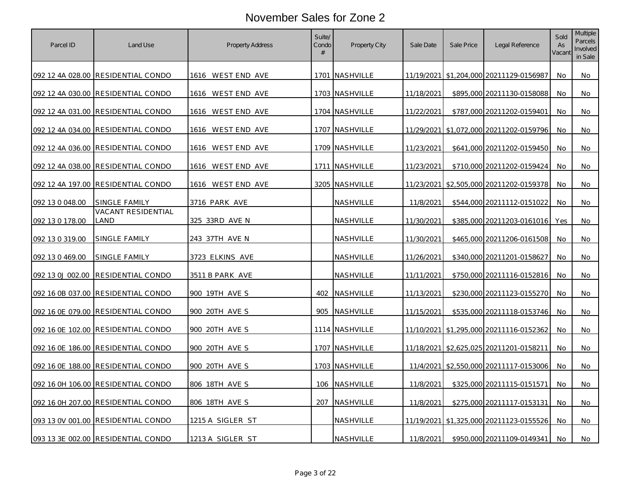| Parcel ID        | Land Use                           | <b>Property Address</b> | Suite/<br>Condo<br># | Property City    | Sale Date  | Sale Price | Legal Reference                             | Sold<br>As<br>Vacant | Multiple<br>Parcels<br>Involved<br>in Sale |
|------------------|------------------------------------|-------------------------|----------------------|------------------|------------|------------|---------------------------------------------|----------------------|--------------------------------------------|
|                  | 092 12 4A 028.00 RESIDENTIAL CONDO | 1616 WEST END AVE       |                      | 1701   NASHVILLE |            |            | 11/19/2021 \$1,204,000 20211129-0156987     | No.                  | No                                         |
|                  | 092 12 4A 030.00 RESIDENTIAL CONDO | 1616 WEST END AVE       |                      | 1703 NASHVILLE   | 11/18/2021 |            | \$895,000 20211130-0158088                  | No                   | No                                         |
|                  | 092 12 4A 031.00 RESIDENTIAL CONDO | 1616 WEST END AVE       |                      | 1704 NASHVILLE   | 11/22/2021 |            | \$787,000 20211202-0159401                  | No                   | No                                         |
|                  | 092 12 4A 034.00 RESIDENTIAL CONDO | 1616 WESTEND AVE        |                      | 1707 NASHVILLE   |            |            | 11/29/2021   \$1,072,000   20211202-0159796 | No.                  | No                                         |
|                  | 092 12 4A 036.00 RESIDENTIAL CONDO | 1616 WEST END AVE       |                      | 1709 NASHVILLE   | 11/23/2021 |            | \$641,000 20211202-0159450                  | No                   | No                                         |
|                  | 092 12 4A 038.00 RESIDENTIAL CONDO | 1616 WEST END AVE       | 1711                 | <b>NASHVILLE</b> | 11/23/2021 |            | \$710,000 20211202-0159424                  | No.                  | No                                         |
|                  | 092 12 4A 197.00 RESIDENTIAL CONDO | 1616 WESTEND AVE        |                      | 3205 NASHVILLE   |            |            | 11/23/2021 \$2,505,000 20211202-0159378     | No                   | No                                         |
| 092 13 0 048.00  | SINGLE FAMILY                      | <u>3716 PARK AVE</u>    |                      | NASHVILLE        | 11/8/2021  |            | \$544,000 20211112-0151022                  | No                   | No                                         |
| 092 13 0 178.00  | <b>VACANT RESIDENTIAL</b><br>LAND  | 325 33RD AVE N          |                      | NASHVILLE        | 11/30/2021 |            | \$385,000 20211203-0161016                  | Yes                  | No                                         |
| 092 13 0 319.00  | SINGLE FAMILY                      | 243 37TH AVE N          |                      | <b>NASHVILLE</b> | 11/30/2021 |            | \$465,000 20211206-0161508                  | No.                  | No                                         |
| 092 13 0 469.00  | SINGLE FAMILY                      | <u>3723 ELKINS AVE</u>  |                      | <u>NASHVILLE</u> | 11/26/2021 |            | \$340,000 20211201-0158627                  | No                   | No                                         |
| 092 13 0J 002.00 | RESIDENTIAL CONDO                  | <u>3511 B PARK AVE</u>  |                      | NASHVILLE        | 11/11/2021 |            | \$750,000 20211116-0152816                  | No.                  | No                                         |
|                  | 092 16 0B 037.00 RESIDENTIAL CONDO | 900 19TH AVE S          |                      | 402 NASHVILLE    | 11/13/2021 |            | \$230,000 20211123-0155270                  | No                   | No                                         |
|                  | 092 16 0E 079.00 RESIDENTIAL CONDO | 900 20TH AVE S          | 905                  | NASHVILLE        | 11/15/2021 |            | \$535,000 20211118-0153746                  | No                   | No                                         |
|                  | 092 16 0E 102.00 RESIDENTIAL CONDO | 900 20TH AVE S          |                      | 1114 NASHVILLE   |            |            | 11/10/2021 \$1,295,000 20211116-0152362     | No                   | No                                         |
|                  | 092 16 0E 186.00 RESIDENTIAL CONDO | 900 20TH AVE S          |                      | 1707 NASHVILLE   |            |            | 11/18/2021 \$2,625,025 20211201-0158211     | No                   | No                                         |
|                  | 092 16 0E 188.00 RESIDENTIAL CONDO | 900 20TH AVE S          |                      | 1703 NASHVILLE   |            |            | 11/4/2021 \$2,550,000 20211117-0153006      | No                   | No                                         |
|                  | 092 16 0H 106.00 RESIDENTIAL CONDO | 806 18TH AVE S          | 106                  | NASHVILLE        | 11/8/2021  |            | \$325,000 20211115-0151571                  | No                   | No                                         |
|                  | 092 16 0H 207.00 RESIDENTIAL CONDO | 806 18TH AVE S          | 207                  | NASHVILLE        | 11/8/2021  |            | \$275,000 20211117-0153131                  | No                   | No                                         |
|                  | 093 13 0V 001.00 RESIDENTIAL CONDO | 1215 A SIGLER ST        |                      | NASHVILLE        |            |            | 11/19/2021 \$1,325,000 20211123-0155526     | <b>No</b>            | No                                         |
|                  | 093 13 3E 002.00 RESIDENTIAL CONDO | 1213 A SIGLER ST        |                      | NASHVILLE        | 11/8/2021  |            | \$950,000 20211109-0149341                  | No.                  | No                                         |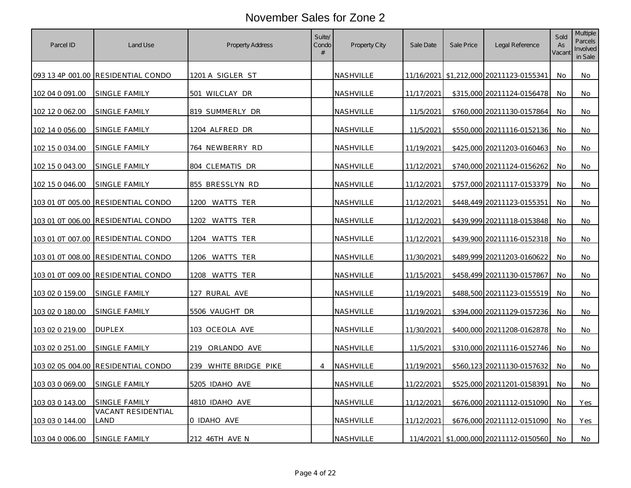| Parcel ID        | Land Use                                  | <b>Property Address</b>  | Suite/<br>Condo<br># | Property City    | Sale Date  | Sale Price | Legal Reference                         | Sold<br>As<br>Vacant | <b>Multiple</b><br>Parcels<br>Involved<br>in Sale |
|------------------|-------------------------------------------|--------------------------|----------------------|------------------|------------|------------|-----------------------------------------|----------------------|---------------------------------------------------|
|                  | 093 13 4P 001.00 RESIDENTIAL CONDO        | <u>1201 A SIGLER ST</u>  |                      | NASHVILLE        |            |            | 11/16/2021 \$1,212,000 20211123-0155341 | No.                  | No                                                |
| 102 04 0 091.00  | SINGLE FAMILY                             | 501 WILCLAY DR           |                      | NASHVILLE        | 11/17/2021 |            | \$315,000 20211124-0156478              | No.                  | No                                                |
| 102 12 0 062.00  | SINGLE FAMILY                             | 819 SUMMERLY DR          |                      | NASHVILLE        | 11/5/2021  |            | \$760,000 20211130-0157864              | No                   | No                                                |
| 102 14 0 056.00  | SINGLE FAMILY                             | 1204 ALFRED DR           |                      | NASHVILLE        | 11/5/2021  |            | \$550,000 20211116-0152136              | No.                  | No                                                |
| 102 15 0 034.00  | SINGLE FAMILY                             | 764 NEWBERRY RD          |                      | NASHVILLE        | 11/19/2021 |            | \$425,000 20211203-0160463              | No                   | No                                                |
| 102 15 0 043.00  | <u>SINGLE FAMILY</u>                      | 804 CLEMATIS DR          |                      | NASHVILLE        | 11/12/2021 |            | \$740,000 20211124-0156262              | No.                  | No                                                |
| 102 15 0 046.00  | SINGLE FAMILY                             | 855 BRESSLYN RD          |                      | NASHVILLE        | 11/12/2021 |            | \$757,000 20211117-0153379              | <b>No</b>            | No                                                |
|                  | 103 01 0T 005.00 RESIDENTIAL CONDO        | 1200 WATTS TER           |                      | NASHVILLE        | 11/12/2021 |            | \$448,449 20211123-0155351              | No                   | No                                                |
|                  |                                           | 1202 WATTS TER           |                      | NASHVILLE        | 11/12/2021 |            | \$439,999 20211118-0153848              | No.                  | No                                                |
|                  | 103 01 0T 007.00 RESIDENTIAL CONDO        | 1204 WATTS TER           |                      | NASHVILLE        | 11/12/2021 |            | \$439,900 20211116-0152318              | No                   | No                                                |
|                  | <u>103 01 0T 008.00 RESIDENTIAL CONDO</u> | <u>1206 WATTS TER</u>    |                      | <u>NASHVILLE</u> | 11/30/2021 |            | \$489,999 20211203-0160622              | No                   | No                                                |
|                  | 103 01 0T 009.00 RESIDENTIAL CONDO        | 1208 WATTS TER           |                      | NASHVILLE        | 11/15/2021 |            | \$458,499 20211130-0157867              | No                   | No                                                |
| 103 02 0 159.00  | SINGLE FAMILY                             | 127 RURAL AVE            |                      | NASHVILLE        | 11/19/2021 |            | \$488,500 20211123-0155519              | No                   | No                                                |
| 103 02 0 180.00  | SINGLE FAMILY                             | 5506 VAUGHT DR           |                      | NASHVILLE        | 11/19/2021 |            | \$394,000 20211129-0157236              | No.                  | No                                                |
| 103 02 0 219.00  | <b>DUPLEX</b>                             | 103 OCEOLA AVE           |                      | NASHVILLE        | 11/30/2021 |            | \$400,000 20211208-0162878              | No                   | No                                                |
| 103 02 0 251.00  | SINGLE FAMILY                             | 219 ORLANDO AVE          |                      | NASHVILLE        | 11/5/2021  |            | \$310,000 20211116-0152746              | No                   | No                                                |
| 103 02 0S 004.00 | RESIDENTIAL CONDO                         | WHITE BRIDGE PIKE<br>239 | $\overline{4}$       | NASHVILLE        | 11/19/2021 |            | \$560,123 20211130-0157632              | No                   | No                                                |
| 103 03 0 069.00  | SINGLE FAMILY                             | 5205 IDAHO AVE           |                      | NASHVILLE        | 11/22/2021 |            | \$525,000 20211201-0158391              | No                   | No                                                |
| 103 03 0 143.00  | SINGLE FAMILY                             | 4810 IDAHO AVE           |                      | NASHVILLE        | 11/12/2021 |            | \$676,000 20211112-0151090              | No                   | Yes                                               |
| 103 03 0 144.00  | <b>VACANT RESIDENTIAL</b><br>LAND         | 0 IDAHO AVE              |                      | NASHVILLE        | 11/12/2021 |            | \$676,000 20211112-0151090              | <b>No</b>            | Yes                                               |
| 103 04 0 006.00  | SINGLE FAMILY                             | 212 46TH AVE N           |                      | NASHVILLE        |            |            | 11/4/2021 \$1,000,000 20211112-0150560  | No.                  | No                                                |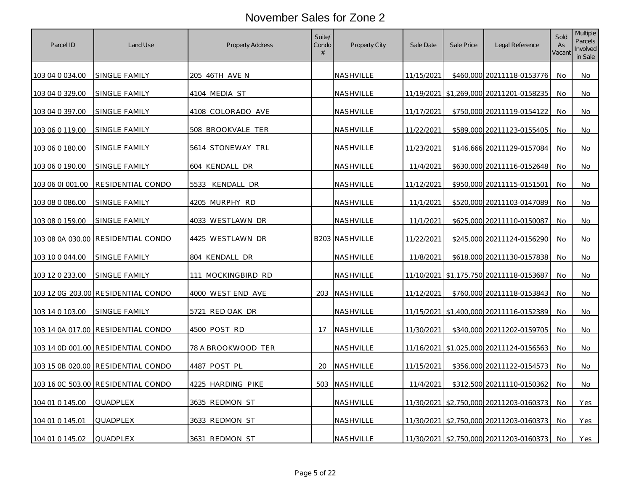| Parcel ID        | Land Use                           | Property Address   | Suite/<br>Condo<br># | Property City         | Sale Date  | Sale Price | Legal Reference                         | Sold<br>As<br>Vacant | <b>Multiple</b><br>Parcels<br>Involved<br>in Sale |
|------------------|------------------------------------|--------------------|----------------------|-----------------------|------------|------------|-----------------------------------------|----------------------|---------------------------------------------------|
| 103 04 0 034.00  | <u>SINGLE FAMILY</u>               | 205 46TH AVE N     |                      | <b>NASHVILLE</b>      | 11/15/2021 |            | \$460,000 20211118-0153776              | No.                  | No                                                |
| 103 04 0 329.00  | SINGLE FAMILY                      | 4104 MEDIA ST      |                      | NASHVILLE             |            |            | 11/19/2021 \$1,269,000 20211201-0158235 | No.                  | No                                                |
| 103 04 0 397.00  | SINGLE FAMILY                      | 4108 COLORADO AVE  |                      | NASHVILLE             | 11/17/2021 |            | \$750,000 20211119-0154122              | No                   | No                                                |
| 103 06 0 119.00  | SINGLE FAMILY                      | 508 BROOKVALE TER  |                      | <b>NASHVILLE</b>      | 11/22/2021 |            | \$589,000 20211123-0155405              | No                   | No                                                |
| 103 06 0 180.00  | SINGLE FAMILY                      | 5614 STONEWAY TRL  |                      | NASHVILLE             | 11/23/2021 |            | \$146,666 20211129-0157084              | No                   | No                                                |
| 103 06 0 190.00  | <u>SINGLE FAMILY</u>               | 604 KENDALL DR     |                      | <b>NASHVILLE</b>      | 11/4/2021  |            | \$630,000 20211116-0152648              | No                   | No                                                |
| 103 06 01 001.00 | RESIDENTIAL CONDO                  | 5533 KENDALL DR    |                      | NASHVILLE             | 11/12/2021 |            | \$950,000 20211115-0151501              | No                   | No                                                |
| 103 08 0 086.00  | SINGLE FAMILY                      | 4205 MURPHY RD     |                      | NASHVILLE             | 11/1/2021  |            | \$520,000 20211103-0147089              | No                   | No                                                |
| 103 08 0 159.00  | SINGLE FAMILY                      | 4033 WESTLAWN DR   |                      | <b>NASHVILLE</b>      | 11/1/2021  |            | \$625,000 20211110-0150087              | No.                  | No                                                |
|                  | 103 08 0A 030.00 RESIDENTIAL CONDO | 4425 WESTLAWN DR   |                      | <b>B203 NASHVILLE</b> | 11/22/2021 |            | \$245,000 20211124-0156290              | No                   | No                                                |
| 103 10 0 044.00  | <u>SINGLE FAMILY</u>               | 804 KENDALL DR     |                      | <u>NASHVILLE</u>      | 11/8/2021  |            | \$618,000 20211130-0157838              | No                   | No.                                               |
| 103 12 0 233.00  | SINGLE FAMILY                      | 111 MOCKINGBIRD RD |                      | NASHVILLE             |            |            | 11/10/2021 \$1,175,750 20211118-0153687 | No                   | No                                                |
|                  | 103 12 0G 203.00 RESIDENTIAL CONDO | 4000 WEST END AVE  |                      | 203 NASHVILLE         | 11/12/2021 |            | \$760,000 20211118-0153843              | No                   | No                                                |
| 103 14 0 103.00  | SINGLE FAMILY                      | 5721 RED OAK DR    |                      | NASHVILLE             |            |            | 11/15/2021 \$1,400,000 20211116-0152389 | No                   | No                                                |
| 103 14 0A 017.00 | RESIDENTIAL CONDO                  | 4500 POST RD       | 17                   | NASHVILLE             | 11/30/2021 |            | \$340,000 20211202-0159705              | No                   | No                                                |
|                  | 103 14 0D 001.00 RESIDENTIAL CONDO | 78 A BROOKWOOD TER |                      | NASHVILLE             |            |            | 11/16/2021 \$1,025,000 20211124-0156563 | No                   | No                                                |
|                  | 103 15 0B 020.00 RESIDENTIAL CONDO | 4487 POST PL       | 20                   | NASHVILLE             | 11/15/2021 |            | \$356,000 20211122-0154573              | No                   | No                                                |
|                  | 103 16 0C 503.00 RESIDENTIAL CONDO | 4225 HARDING PIKE  | 503                  | NASHVILLE             | 11/4/2021  |            | \$312,500 20211110-0150362              | No                   | No                                                |
| 104 01 0 145.00  | QUADPLEX                           | 3635 REDMON ST     |                      | NASHVILLE             |            |            | 11/30/2021 \$2,750,000 20211203-0160373 | No                   | Yes                                               |
| 104 01 0 145.01  | QUADPLEX                           | 3633 REDMON ST     |                      | NASHVILLE             |            |            | 11/30/2021 \$2,750,000 20211203-0160373 | <b>No</b>            | Yes                                               |
| 104 01 0 145.02  | QUADPLEX                           | 3631 REDMON ST     |                      | NASHVILLE             |            |            | 11/30/2021 \$2,750,000 20211203-0160373 | No                   | Yes                                               |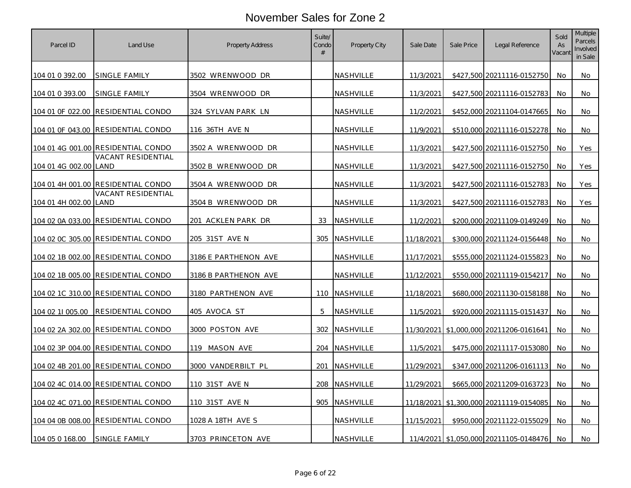| Parcel ID             | Land Use                                  | Property Address      | Suite/<br>Condo<br># | Property City    | Sale Date  | Sale Price | Legal Reference                         | Sold<br>As<br>Vacant | Multiple<br>Parcels<br>Involved<br>in Sale |
|-----------------------|-------------------------------------------|-----------------------|----------------------|------------------|------------|------------|-----------------------------------------|----------------------|--------------------------------------------|
| 104 01 0 392.00       | SINGLE FAMILY                             | 3502 WRENWOOD DR      |                      | <b>NASHVILLE</b> | 11/3/2021  |            | \$427,500 20211116-0152750              | No                   | No                                         |
| 104 01 0 393.00       | SINGLE FAMILY                             | 3504 WRENWOOD DR      |                      | NASHVILLE        | 11/3/2021  |            | \$427,500 20211116-0152783              | No                   | No                                         |
|                       | 104 01 OF 022.00 RESIDENTIAL CONDO        | 324 SYLVAN PARK LN    |                      | NASHVILLE        | 11/2/2021  |            | \$452,000 20211104-0147665              | No.                  | No                                         |
|                       | 104 01 OF 043.00 RESIDENTIAL CONDO        | 116 36TH AVE N        |                      | NASHVILLE        | 11/9/2021  |            | \$510,000 20211116-0152278              | No.                  | No                                         |
|                       | 104 01 4G 001.00 RESIDENTIAL CONDO        | 3502 A WRENWOOD DR    |                      | NASHVILLE        | 11/3/2021  |            | \$427,500 20211116-0152750              | No                   | Yes                                        |
| 104 01 4G 002.00 LAND | VACANT RESIDENTIAL                        | 3502 B WRENWOOD DR    |                      | <b>NASHVILLE</b> | 11/3/2021  |            | \$427,500 20211116-0152750              | No                   | Yes                                        |
|                       | 104 01 4H 001.00 RESIDENTIAL CONDO        | 3504 A WRENWOOD DR    |                      | NASHVILLE        | 11/3/2021  |            | \$427,500 20211116-0152783              | No                   | Yes                                        |
| 104 01 4H 002.00 LAND | VACANT RESIDENTIAL                        | 3504 B WRENWOOD DR    |                      | NASHVILLE        | 11/3/2021  |            | \$427,500 20211116-0152783              | No                   | Yes                                        |
|                       | 104 02 0A 033.00  RESIDENTIAL CONDO       | 201 ACKLEN PARK DR    | 33                   | NASHVILLE        | 11/2/2021  |            | \$200,000 20211109-0149249              | No                   | No                                         |
|                       | 104 02 0C 305.00 RESIDENTIAL CONDO        | 205 31ST AVE N        | 305                  | NASHVILLE        | 11/18/2021 |            | \$300,000 20211124-0156448              | No                   | No                                         |
|                       | <u>104 02 1B 002.00 RESIDENTIAL CONDO</u> | 3186 E PARTHENON AVE  |                      | <u>NASHVILLE</u> | 11/17/2021 |            | \$555,000 20211124-0155823              | No                   | No                                         |
|                       | 104 02 1B 005.00 RESIDENTIAL CONDO        | 3186 B PARTHENON AVE  |                      | NASHVILLE        | 11/12/2021 |            | \$550,000 20211119-0154217              | No                   | No                                         |
|                       | 104 02 1C 310.00 RESIDENTIAL CONDO        | 3180 PARTHENON AVE    |                      | 110 NASHVILLE    | 11/18/2021 |            | \$680,000 20211130-0158188              | No                   | No                                         |
| 104 02 11 005.00      | <b>RESIDENTIAL CONDO</b>                  | 405 AVOCA ST          | 5                    | NASHVILLE        | 11/5/2021  |            | \$920,000 20211115-0151437              | No                   | No                                         |
|                       | 104 02 2A 302.00 RESIDENTIAL CONDO        | 3000 POSTON AVE       | 302                  | NASHVILLE        |            |            | 11/30/2021 \$1,000,000 20211206-0161641 | No                   | No                                         |
|                       | 104 02 3P 004.00 RESIDENTIAL CONDO        | 119 MASON AVE         |                      | 204 NASHVILLE    | 11/5/2021  |            | \$475,000 20211117-0153080              | No                   | No                                         |
|                       | 104 02 4B 201.00 RESIDENTIAL CONDO        | 3000 VANDERBILT PL    | 201                  | NASHVILLE        | 11/29/2021 |            | \$347,000 20211206-0161113              | No                   | No                                         |
|                       | 104 02 4C 014.00 RESIDENTIAL CONDO        | 110 31ST AVE N        | 208                  | NASHVILLE        | 11/29/2021 |            | \$665,000 20211209-0163723              | No                   | No                                         |
|                       | <u>104 02 4C 071.00 RESIDENTIAL CONDO</u> | <u>110 31ST AVE N</u> | 905                  | NASHVILLE        |            |            | 11/18/2021 \$1,300,000 20211119-0154085 | No.                  | No                                         |
|                       | 104 04 0B 008.00 RESIDENTIAL CONDO        | 1028 A 18TH AVE S     |                      | NASHVILLE        | 11/15/2021 |            | \$950,000 20211122-0155029              | No                   | No                                         |
| 104 05 0 168.00       | SINGLE FAMILY                             | 3703 PRINCETON AVE    |                      | NASHVILLE        |            |            | 11/4/2021 \$1,050,000 20211105-0148476  | No                   | No                                         |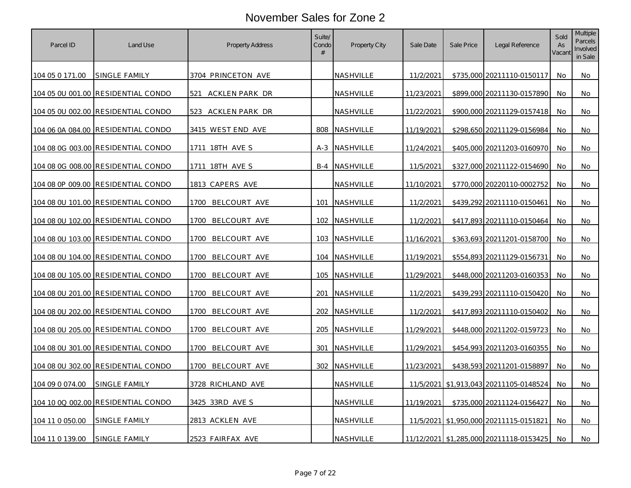| Parcel ID       | Land Use                                  | Property Address       | Suite/<br>Condo<br># | Property City    | Sale Date  | Sale Price | Legal Reference                         | Sold<br>As<br>Vacant | Multiple<br>Parcels<br>Involved<br>in Sale |
|-----------------|-------------------------------------------|------------------------|----------------------|------------------|------------|------------|-----------------------------------------|----------------------|--------------------------------------------|
| 104 05 0 171.00 | SINGLE FAMILY                             | 3704 PRINCETON AVE     |                      | <b>NASHVILLE</b> | 11/2/2021  |            | \$735,000 20211110-0150117              | No.                  | No                                         |
|                 | 104 05 0U 001.00 RESIDENTIAL CONDO        | 521<br>ACKLEN PARK DR  |                      | NASHVILLE        | 11/23/2021 |            | \$899,000 20211130-0157890              | No.                  | No                                         |
|                 |                                           | ACKLEN PARK DR<br>523. |                      | NASHVILLE        | 11/22/2021 |            | \$900,000 20211129-0157418              | No                   | No                                         |
|                 | 104 06 0A 084.00 RESIDENTIAL CONDO        | 3415 WEST END AVE      | 808                  | <b>NASHVILLE</b> | 11/19/2021 |            | \$298,650 20211129-0156984              | No                   | No                                         |
|                 | 104 08 0G 003.00 RESIDENTIAL CONDO        | 1711 18TH AVE S        |                      | A-3 NASHVILLE    | 11/24/2021 |            | \$405,000 20211203-0160970              | No                   | No                                         |
|                 | 104 08 0G 008.00 RESIDENTIAL CONDO        | 1711 18TH AVE S        | $B-4$                | <b>NASHVILLE</b> | 11/5/2021  |            | \$327,000 20211122-0154690              | No                   | No                                         |
|                 | 104 08 0P 009.00 RESIDENTIAL CONDO        | 1813 CAPERS AVE        |                      | NASHVILLE        | 11/10/2021 |            | \$770,000 20220110-0002752              | No                   | No                                         |
|                 | 104 08 0U 101.00 RESIDENTIAL CONDO        | 1700<br>BELCOURT AVE   | 101                  | NASHVILLE        | 11/2/2021  |            | \$439,292 20211110-0150461              | No                   | No                                         |
|                 | 104 08 0U 102.00 RESIDENTIAL CONDO        | 1700<br>BELCOURT AVE   | 102                  | <b>NASHVILLE</b> | 11/2/2021  |            | \$417,893 20211110-0150464              | No                   | No                                         |
|                 | 104 08 0U 103.00 RESIDENTIAL CONDO        | 1700<br>BELCOURT AVE   | 103                  | NASHVILLE        | 11/16/2021 |            | \$363,693 20211201-0158700              | No                   | No                                         |
|                 | <u>104 08 0U 104.00 RESIDENTIAL CONDO</u> | BELCOURT AVE<br>1700   | 104                  | <b>NASHVILLE</b> | 11/19/2021 |            | \$554,893 20211129-0156731              | No                   | No.                                        |
|                 | 104 08 0U 105.00 RESIDENTIAL CONDO        | 1700<br>BELCOURT AVE   | 105                  | NASHVILLE        | 11/29/2021 |            | \$448,000 20211203-0160353              | No                   | No                                         |
|                 | 104 08 0U 201.00 RESIDENTIAL CONDO        | BELCOURT AVE<br>1700   | 201                  | NASHVILLE        | 11/2/2021  |            | \$439,293 20211110-0150420              | No                   | No                                         |
|                 | 104 08 0U 202.00 RESIDENTIAL CONDO        | 1700<br>BELCOURT AVE   | 202                  | <b>NASHVILLE</b> | 11/2/2021  |            | \$417,893 20211110-0150402              | No.                  | No                                         |
|                 | 104 08 0U 205.00 RESIDENTIAL CONDO        | 1700<br>BELCOURT AVE   | 205                  | NASHVILLE        | 11/29/2021 |            | \$448,000 20211202-0159723              | No                   | No                                         |
|                 | 104 08 0U 301.00 RESIDENTIAL CONDO        | 1700 BELCOURT AVE      | 301                  | NASHVILLE        | 11/29/2021 |            | \$454,993 20211203-0160355              | No                   | No                                         |
|                 | 104 08 0U 302.00 RESIDENTIAL CONDO        | 1700<br>BELCOURT AVE   | 302                  | <b>NASHVILLE</b> | 11/23/2021 |            | \$438,593 20211201-0158897              | No                   | No                                         |
| 104 09 0 074.00 | SINGLE FAMILY                             | 3728 RICHLAND AVE      |                      | NASHVILLE        |            |            | 11/5/2021 \$1,913,043 20211105-0148524  | No                   | No                                         |
|                 | 104 10 0Q 002.00 RESIDENTIAL CONDO        | 3425 33RD AVE S        |                      | NASHVILLE        | 11/19/2021 |            | \$735,000 20211124-0156427              | No                   | No.                                        |
| 104 11 0 050.00 | SINGLE FAMILY                             | 2813 ACKLEN AVE        |                      | NASHVILLE        |            |            | 11/5/2021 \$1,950,000 20211115-0151821  | No                   | No                                         |
| 104 11 0 139.00 | SINGLE FAMILY                             | 2523 FAIRFAX AVE       |                      | NASHVILLE        |            |            | 11/12/2021 \$1,285,000 20211118-0153425 | No                   | No                                         |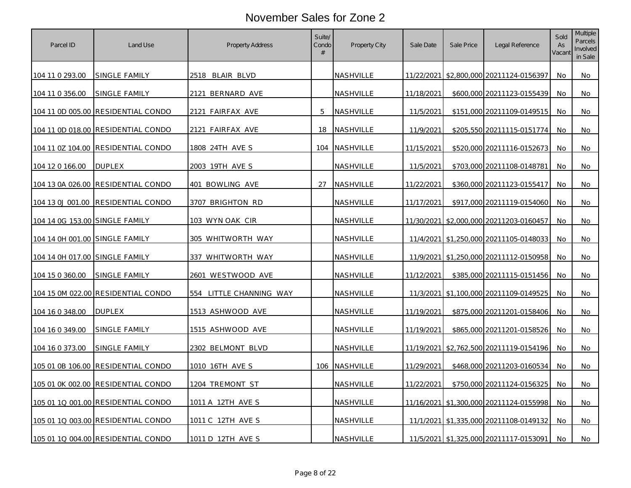| Parcel ID                             | Land Use                           | Property Address         | Suite/<br>Condo<br># | Property City    | Sale Date  | Sale Price | Legal Reference                             | Sold<br>As<br>Vacant | <b>Multiple</b><br>Parcels<br>Involved<br>in Sale |
|---------------------------------------|------------------------------------|--------------------------|----------------------|------------------|------------|------------|---------------------------------------------|----------------------|---------------------------------------------------|
| 104 11 0 293.00                       | SINGLE FAMILY                      | 2518 BLAIR BLVD          |                      | NASHVILLE        |            |            | 11/22/2021 \$2,800,000 20211124-0156397     | No.                  | No                                                |
| 104 11 0 356.00                       | SINGLE FAMILY                      | 2121 BERNARD AVE         |                      | NASHVILLE        | 11/18/2021 |            | \$600,000 20211123-0155439                  | No.                  | No                                                |
|                                       | 104 11 0D 005.00 RESIDENTIAL CONDO | 2121 FAIRFAX AVE         | 5                    | NASHVILLE        | 11/5/2021  |            | \$151,000 20211109-0149515                  | No                   | No                                                |
|                                       | 104 11 0D 018.00 RESIDENTIAL CONDO | 2121 FAIRFAX AVE         | 18                   | NASHVILLE        | 11/9/2021  |            | \$205,550 20211115-0151774                  | No                   | No                                                |
|                                       |                                    | 1808 24TH AVE S          |                      | 104 NASHVILLE    | 11/15/2021 |            | \$520,000 20211116-0152673                  | No.                  | No                                                |
| 104 12 0 166.00                       | <b>DUPLEX</b>                      | 2003 19TH AVE S          |                      | NASHVILLE        | 11/5/2021  |            | \$703,000 20211108-0148781                  | No                   | No                                                |
|                                       |                                    | 401 BOWLING AVE          | 27                   | <b>NASHVILLE</b> | 11/22/2021 |            | \$360,000 20211123-0155417                  | No                   | No                                                |
| 104 13 0J 001.00                      | <b>RESIDENTIAL CONDO</b>           | 3707 BRIGHTON RD         |                      | NASHVILLE        | 11/17/2021 |            | \$917,000 20211119-0154060                  | No                   | No                                                |
| 104 14 0G 153.00 SINGLE FAMILY        |                                    | 103 WYN OAK CIR          |                      | <b>NASHVILLE</b> | 11/30/2021 |            | \$2,000,000 20211203-0160457                | No                   | No                                                |
| <u>104 14 0H 001.00 SINGLE FAMILY</u> |                                    | 305 WHITWORTH WAY        |                      | NASHVILLE        |            |            | 11/4/2021 \$1,250,000 20211105-0148033      | No.                  | No                                                |
|                                       |                                    | <u>337 WHITWORTH WAY</u> |                      | NASHVILLE        |            |            | 11/9/2021 \$1,250,000 20211112-0150958      | No                   | No                                                |
| 104 15 0 360.00                       | <u>SINGLE FAMILY</u>               | <u>2601 WESTWOOD AVE</u> |                      | NASHVILLE        | 11/12/2021 |            | \$385,000 20211115-0151456                  | No                   | No                                                |
|                                       | 104 15 0M 022.00 RESIDENTIAL CONDO | 554 LITTLE CHANNING WAY  |                      | NASHVILLE        |            |            | 11/3/2021 \$1,100,000 20211109-0149525      | No                   | No                                                |
| 104 16 0 348.00                       | <b>DUPLEX</b>                      | 1513 ASHWOOD AVE         |                      | NASHVILLE        | 11/19/2021 |            | \$875,000 20211201-0158406                  | No                   | No                                                |
| <u>104 16 0 349.00</u>                | SINGLE FAMILY                      | 1515 ASHWOOD AVE         |                      | NASHVILLE        | 11/19/2021 |            | \$865,000 20211201-0158526                  | No                   | No                                                |
| 104 16 0 373.00                       | SINGLE FAMILY                      | 2302 BELMONT BLVD        |                      | <b>NASHVILLE</b> |            |            | 11/19/2021 \$2,762,500 20211119-0154196     | No                   | No                                                |
|                                       | 105 01 0B 106.00 RESIDENTIAL CONDO | 1010 16TH AVE S          |                      | 106 NASHVILLE    | 11/29/2021 |            | \$468,000 20211203-0160534                  | No                   | No                                                |
|                                       | 105 01 0K 002.00 RESIDENTIAL CONDO | 1204 TREMONT ST          |                      | NASHVILLE        | 11/22/2021 |            | \$750,000 20211124-0156325                  | No                   | No                                                |
|                                       |                                    | 1011 A 12TH AVE S        |                      | NASHVILLE        |            |            | 11/16/2021   \$1,300,000   20211124-0155998 | No                   | No                                                |
|                                       | 105 01 1Q 003.00 RESIDENTIAL CONDO | 1011 C 12TH AVE S        |                      | NASHVILLE        |            |            | 11/1/2021 \$1,335,000 20211108-0149132      | No                   | No                                                |
|                                       | 105 01 1Q 004.00 RESIDENTIAL CONDO | 1011 D 12TH AVE S        |                      | NASHVILLE        |            |            | 11/5/2021 \$1,325,000 20211117-0153091      | No                   | No                                                |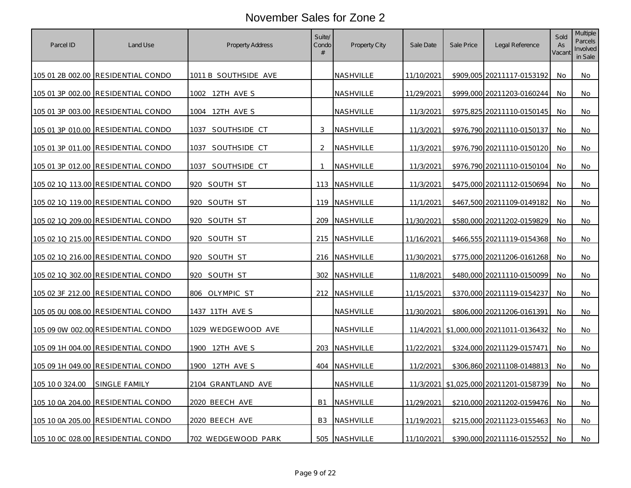| Parcel ID       | Land Use                                  | <b>Property Address</b> | Suite/<br>Condo<br># | Property City    | Sale Date         | Sale Price | Legal Reference                        | Sold<br>As<br>Vacant | Multiple<br>Parcels<br>Involved<br>in Sale |
|-----------------|-------------------------------------------|-------------------------|----------------------|------------------|-------------------|------------|----------------------------------------|----------------------|--------------------------------------------|
|                 | 105 01 2B 002.00 RESIDENTIAL CONDO        | 1011 B SOUTHSIDE AVE    |                      | NASHVILLE        | 11/10/2021        |            | \$909,005 20211117-0153192             | No.                  | No                                         |
|                 | 105 01 3P 002.00 RESIDENTIAL CONDO        | 1002 12TH AVE S         |                      | NASHVILLE        | 11/29/2021        |            | \$999,000 20211203-0160244             | No                   | No                                         |
|                 | 105 01 3P 003.00 RESIDENTIAL CONDO        | 1004 12TH AVE S         |                      | NASHVILLE        | 11/3/2021         |            | \$975,825 20211110-0150145             | No.                  | No                                         |
|                 | 105 01 3P 010.00 RESIDENTIAL CONDO        | SOUTHSIDE CT<br>1037    | 3                    | NASHVILLE        | 11/3/2021         |            | \$976,790 20211110-0150137             | No.                  | No                                         |
|                 | 105 01 3P 011.00 RESIDENTIAL CONDO        | 1037 SOUTHSIDE CT       | $\overline{2}$       | NASHVILLE        | 11/3/2021         |            | \$976,790 20211110-0150120             | No                   | No                                         |
|                 | 105 01 3P 012.00 RESIDENTIAL CONDO        | SOUTHSIDE CT<br>1037    | $\overline{1}$       | <b>NASHVILLE</b> | 11/3/2021         |            | \$976,790 20211110-0150104             | No.                  | No                                         |
|                 | 105 02 1Q 113.00 RESIDENTIAL CONDO        | 920<br>SOUTH ST         | 113                  | NASHVILLE        | 11/3/2021         |            | \$475,000 20211112-0150694             | No                   | No                                         |
|                 | 105 02 1Q 119.00 RESIDENTIAL CONDO        | 920 SOUTH ST            | 119                  | NASHVILLE        | 11/1/2021         |            | \$467,500 20211109-0149182             | No                   | No                                         |
|                 |                                           | 920<br>SOUTH ST         | 209                  | NASHVILLE        | 11/30/2021        |            | \$580,000 20211202-0159829             | No                   | No                                         |
|                 | 105 02 1Q 215.00 RESIDENTIAL CONDO        | 920<br>SOUTH ST         | 215                  | NASHVILLE        | 11/16/2021        |            | \$466,555 20211119-0154368             | No.                  | No                                         |
|                 | <u>105 02 10 216.00 RESIDENTIAL CONDO</u> | 920 SOUTH ST            |                      | 216 NASHVILLE    | 11/30/2021        |            | \$775,000 20211206-0161268             | No                   | No                                         |
|                 | 105 02 10 302.00 RESIDENTIAL CONDO        | SOUTH ST<br>920         | 302                  | NASHVILLE        | 11/8/2021         |            | \$480,000 20211110-0150099             | No                   | No                                         |
|                 | 105 02 3F 212.00 RESIDENTIAL CONDO        | 806 OLYMPIC ST          |                      | 212 NASHVILLE    | 11/15/2021        |            | \$370,000 20211119-0154237             | No                   | No                                         |
|                 | 105 05 0U 008.00 RESIDENTIAL CONDO        | 1437 11TH AVE S         |                      | NASHVILLE        | 11/30/2021        |            | \$806,000 20211206-0161391             | No                   | No                                         |
|                 | 105 09 0W 002.00 RESIDENTIAL CONDO        | 1029 WEDGEWOOD AVE      |                      | NASHVILLE        |                   |            | 11/4/2021 \$1,000,000 20211011-0136432 | No                   | No.                                        |
|                 | 105 09 1H 004.00 RESIDENTIAL CONDO        | 1900 12TH AVE S         | 203                  | NASHVILLE        | 11/22/2021        |            | \$324,000 20211129-0157471             | No                   | No                                         |
|                 | 105 09 1H 049.00 RESIDENTIAL CONDO        | 1900 12TH AVE S         | 404                  | NASHVILLE        | 11/2/2021         |            | \$306,860 20211108-0148813             | No.                  | No                                         |
| 105 10 0 324.00 | <b>SINGLE FAMILY</b>                      | 2104 GRANTLAND AVE      |                      | NASHVILLE        |                   |            | 11/3/2021 \$1,025,000 20211201-0158739 | No.                  | No                                         |
|                 | <u>105 10 0A 204.00 RESIDENTIAL CONDO</u> | 2020 BEECH AVE          | <b>B1</b>            | NASHVILLE        | <u>11/29/2021</u> |            | \$210,000 20211202-0159476             | No                   | No                                         |
|                 | 105 10 0A 205.00 RESIDENTIAL CONDO        | 2020 BEECH AVE          | B <sub>3</sub>       | NASHVILLE        | 11/19/2021        |            | \$215,000 20211123-0155463             | No                   | No                                         |
|                 | 105 10 0C 028.00 RESIDENTIAL CONDO        | 702 WEDGEWOOD PARK      | 505                  | NASHVILLE        | 11/10/2021        |            | \$390,000 20211116-0152552             | No.                  | No                                         |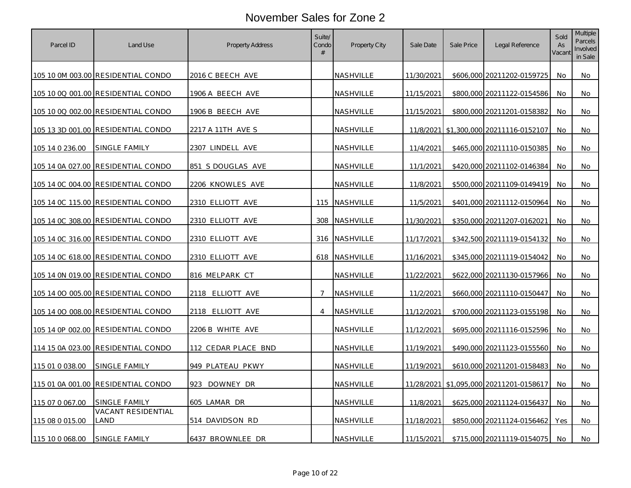| Parcel ID       | Land Use                                  | Property Address        | Suite/<br>Condo<br># | Property City    | Sale Date  | Sale Price | Legal Reference                         | Sold<br>As<br>Vacant | Multiple<br>Parcels<br>Involved<br>in Sale |
|-----------------|-------------------------------------------|-------------------------|----------------------|------------------|------------|------------|-----------------------------------------|----------------------|--------------------------------------------|
|                 | 105 10 0M 003.00 RESIDENTIAL CONDO        | 2016 C BEECH AVE        |                      | <b>NASHVILLE</b> | 11/30/2021 |            | \$606,000 20211202-0159725              | No                   | No                                         |
|                 | 105 10 0Q 001.00 RESIDENTIAL CONDO        | 1906 A BEECH AVE        |                      | NASHVILLE        | 11/15/2021 |            | \$800,000 20211122-0154586              | No                   | No                                         |
|                 | 105 10 0Q 002.00 RESIDENTIAL CONDO        | 1906 B BEECH AVE        |                      | NASHVILLE        | 11/15/2021 |            | \$800,000 20211201-0158382              | No                   | No                                         |
|                 | 105 13 3D 001.00 RESIDENTIAL CONDO        | 2217 A 11TH AVE S       |                      | NASHVILLE        |            |            | 11/8/2021 \$1,300,000 20211116-0152107  | No                   | No                                         |
| 105 14 0 236.00 | <b>SINGLE FAMILY</b>                      | 2307 LINDELL AVE        |                      | NASHVILLE        | 11/4/2021  |            | \$465,000 20211110-0150385              | No.                  | No.                                        |
|                 | 105 14 0A 027.00 RESIDENTIAL CONDO        | 851 S DOUGLAS AVE       |                      | NASHVILLE        | 11/1/2021  |            | \$420,000 20211102-0146384              | No                   | No                                         |
|                 | 105 14 0C 004.00 RESIDENTIAL CONDO        | <u>2206 KNOWLES AVE</u> |                      | <u>NASHVILLE</u> | 11/8/2021  |            | \$500,000 20211109-0149419              | No                   | No                                         |
|                 | 105 14 OC 115.00 RESIDENTIAL CONDO        | 2310 ELLIOTT AVE        |                      | 115 NASHVILLE    | 11/5/2021  |            | \$401,000 20211112-0150964              | No                   | No                                         |
|                 | 105 14 OC 308.00 RESIDENTIAL CONDO        | 2310 ELLIOTT AVE        | 308                  | NASHVILLE        | 11/30/2021 |            | \$350,000 20211207-0162021              | No                   | No                                         |
|                 | 105 14 0C 316.00 RESIDENTIAL CONDO        | 2310 ELLIOTT AVE        |                      | 316 NASHVILLE    | 11/17/2021 |            | \$342,500 20211119-0154132              | No                   | No                                         |
|                 | <u>105 14 OC 618.00 RESIDENTIAL CONDO</u> | <u>2310 ELLIOTT AVE</u> |                      | 618 NASHVILLE    | 11/16/2021 |            | \$345,000 20211119-0154042              | No                   | No                                         |
|                 | <u>105 14 0N 019.00 RESIDENTIAL CONDO</u> | 816 MELPARK CT          |                      | NASHVILLE        | 11/22/2021 |            | \$622,000 20211130-0157966              | No                   | No                                         |
|                 | 105 14 00 005.00 RESIDENTIAL CONDO        | 2118 ELLIOTT AVE        | $\overline{7}$       | NASHVILLE        | 11/2/2021  |            | \$660,000 20211110-0150447              | No.                  | No                                         |
|                 | 105 14 00 008.00 RESIDENTIAL CONDO        | 2118 ELLIOTT AVE        | $\overline{4}$       | NASHVILLE        | 11/12/2021 |            | \$700,000 20211123-0155198              | No                   | No                                         |
|                 | 105 14 0P 002.00 RESIDENTIAL CONDO        | 2206 B WHITE AVE        |                      | NASHVILLE        | 11/12/2021 |            | \$695,000 20211116-0152596              | No                   | No                                         |
|                 | 114 15 0A 023.00 RESIDENTIAL CONDO        | 112 CEDAR PLACE BND     |                      | NASHVILLE        | 11/19/2021 |            | \$490,000 20211123-0155560              | No                   | No                                         |
| 115 01 0 038.00 | <b>SINGLE FAMILY</b>                      | 949 PLATEAU PKWY        |                      | <u>NASHVILLE</u> | 11/19/2021 |            | \$610,000 20211201-0158483              | No.                  | No                                         |
|                 | 115 01 0A 001.00 RESIDENTIAL CONDO        | 923 DOWNEY DR           |                      | NASHVILLE        |            |            | 11/28/2021 \$1,095,000 20211201-0158617 | No                   | No                                         |
| 115 07 0 067.00 | SINGLE FAMILY                             | 605 LAMAR DR            |                      | NASHVILLE        | 11/8/2021  |            | \$625,000 20211124-0156437              | No                   | No                                         |
| 115 08 0 015.00 | VACANT RESIDENTIAL<br>LAND                | 514 DAVIDSON RD         |                      | NASHVILLE        | 11/18/2021 |            | \$850,000 20211124-0156462              | Yes                  | No                                         |
| 115 10 0 068.00 | SINGLE FAMILY                             | 6437 BROWNLEE DR        |                      | NASHVILLE        | 11/15/2021 |            | \$715,000 20211119-0154075              | No                   | No                                         |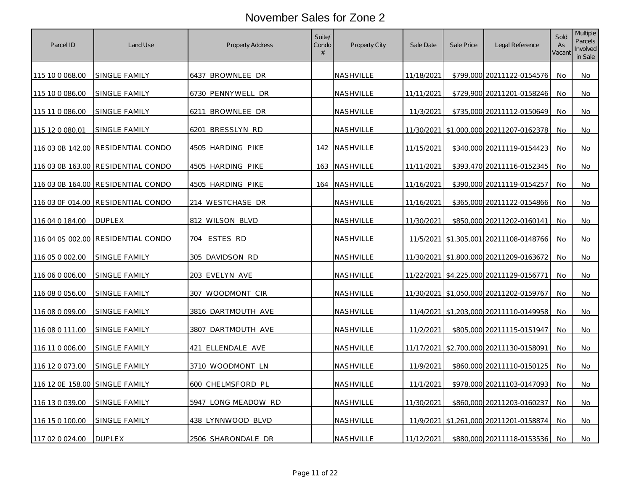| Parcel ID                      | Land Use                           | <b>Property Address</b> | Suite/<br>Condo<br># | Property City    | Sale Date  | Sale Price | Legal Reference                             | Sold<br>As<br>Vacant | Multiple<br>Parcels<br>Involved<br>in Sale |
|--------------------------------|------------------------------------|-------------------------|----------------------|------------------|------------|------------|---------------------------------------------|----------------------|--------------------------------------------|
| 115 10 0 068.00                | SINGLE FAMILY                      | 6437 BROWNLEE DR        |                      | NASHVILLE        | 11/18/2021 |            | \$799,000 20211122-0154576                  | No                   | No                                         |
| 115 10 0 086.00                | SINGLE FAMILY                      | 6730 PENNYWELL DR       |                      | NASHVILLE        | 11/11/2021 |            | \$729,900 20211201-0158246                  | No.                  | No                                         |
| 115 11 0 086.00                | SINGLE FAMILY                      | 6211 BROWNLEE DR        |                      | NASHVILLE        | 11/3/2021  |            | \$735,000 20211112-0150649                  | No                   | No                                         |
| 115 12 0 080.01                | SINGLE FAMILY                      | 6201 BRESSLYN RD        |                      | NASHVILLE        | 11/30/2021 |            | \$1,000,000 20211207-0162378                | No.                  | No                                         |
|                                | 116 03 0B 142.00 RESIDENTIAL CONDO | 4505 HARDING PIKE       |                      | 142 NASHVILLE    | 11/15/2021 |            | \$340,000 20211119-0154423                  | No                   | No                                         |
|                                | 116 03 0B 163.00 RESIDENTIAL CONDO | 4505 HARDING PIKE       | 163                  | <b>NASHVILLE</b> | 11/11/2021 |            | \$393,470 20211116-0152345                  | No.                  | No                                         |
|                                | 116 03 0B 164.00 RESIDENTIAL CONDO | 4505 HARDING PIKE       | 164                  | NASHVILLE        | 11/16/2021 |            | \$390,000 20211119-0154257                  | <b>No</b>            | No                                         |
|                                | 116 03 OF 014.00 RESIDENTIAL CONDO | 214 WESTCHASE DR        |                      | NASHVILLE        | 11/16/2021 |            | \$365,000 20211122-0154866                  | No                   | No                                         |
| 116 04 0 184.00                | <b>DUPLEX</b>                      | 812 WILSON BLVD         |                      | NASHVILLE        | 11/30/2021 |            | \$850,000 20211202-0160141                  | No.                  | No                                         |
|                                | 116 04 0S 002.00 RESIDENTIAL CONDO | ESTES RD<br>704         |                      | NASHVILLE        |            |            | 11/5/2021 \$1,305,001 20211108-0148766      | No                   | No                                         |
| 116 05 0 002.00                | <u>SINGLE FAMILY</u>               | 305 DAVIDSON RD         |                      | <u>NASHVILLE</u> |            |            | 11/30/2021   \$1,800,000   20211209-0163672 | No                   | No                                         |
| 116 06 0 006.00                | SINGLE FAMILY                      | 203 EVELYN AVE          |                      | NASHVILLE        |            |            | 11/22/2021 \$4,225,000 20211129-0156771     | No                   | No                                         |
| 116 08 0 056.00                | SINGLE FAMILY                      | 307 WOODMONT CIR        |                      | NASHVILLE        |            |            | 11/30/2021 \$1,050,000 20211202-0159767     | No                   | No                                         |
| 116 08 0 099.00                | SINGLE FAMILY                      | 3816 DARTMOUTH AVE      |                      | NASHVILLE        |            |            | 11/4/2021 \$1,203,000 20211110-0149958      | No                   | No                                         |
| 116 08 0 111.00                | SINGLE FAMILY                      | 3807 DARTMOUTH AVE      |                      | NASHVILLE        | 11/2/2021  |            | \$805,000 20211115-0151947                  | No                   | No                                         |
| 116 11 0 006.00                | SINGLE FAMILY                      | 421 ELLENDALE AVE       |                      | NASHVILLE        |            |            | 11/17/2021 \$2,700,000 20211130-0158091     | No                   | No                                         |
| 116 12 0 073.00                | SINGLE FAMILY                      | 3710 WOODMONT LN        |                      | NASHVILLE        | 11/9/2021  |            | \$860,000 20211110-0150125                  | No                   | No                                         |
| 116 12 0E 158.00 SINGLE FAMILY |                                    | 600 CHELMSFORD PL       |                      | NASHVILLE        | 11/1/2021  |            | \$978,000 20211103-0147093                  | No                   | No                                         |
| 116 13 0 039.00                | SINGLE FAMILY                      | 5947 LONG MEADOW RD     |                      | NASHVILLE        | 11/30/2021 |            | \$860,000 20211203-0160237                  | No                   | No                                         |
| 116 15 0 100.00                | SINGLE FAMILY                      | 438 LYNNWOOD BLVD       |                      | NASHVILLE        |            |            | 11/9/2021 \$1,261,000 20211201-0158874      | <b>No</b>            | No                                         |
| 117 02 0 024.00                | <b>DUPLEX</b>                      | 2506 SHARONDALE DR      |                      | NASHVILLE        | 11/12/2021 |            | \$880,000 20211118-0153536                  | No.                  | No                                         |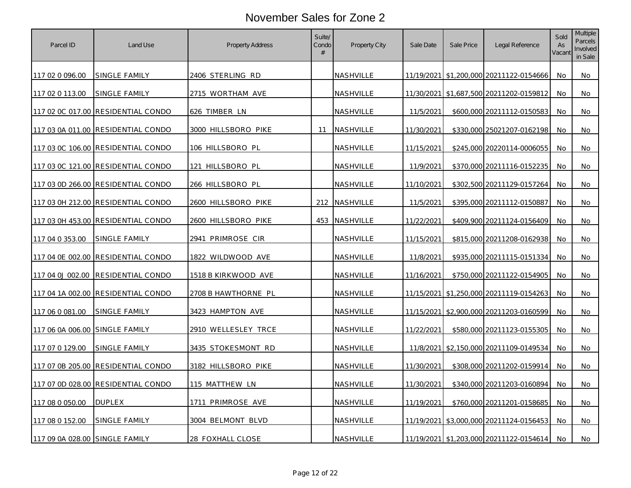| Parcel ID                      | Land Use                           | Property Address         | Suite/<br>Condo<br># | Property City    | Sale Date  | Sale Price | Legal Reference                             | Sold<br>As<br>Vacant | Multiple<br>Parcels<br>Involved<br>in Sale |
|--------------------------------|------------------------------------|--------------------------|----------------------|------------------|------------|------------|---------------------------------------------|----------------------|--------------------------------------------|
| 117 02 0 096.00                | SINGLE FAMILY                      | 2406 STERLING RD         |                      | <b>NASHVILLE</b> |            |            | 11/19/2021   \$1,200,000   20211122-0154666 | No.                  | No                                         |
| 117 02 0 113.00                | SINGLE FAMILY                      | 2715 WORTHAM AVE         |                      | NASHVILLE        |            |            | 11/30/2021 \$1,687,500 20211202-0159812     | No.                  | No                                         |
|                                | 117 02 0C 017.00 RESIDENTIAL CONDO | 626 TIMBER LN            |                      | NASHVILLE        | 11/5/2021  |            | \$600,000 20211112-0150583                  | No                   | No                                         |
|                                | 117 03 0A 011.00 RESIDENTIAL CONDO | 3000 HILLSBORO PIKE      | 11                   | <b>NASHVILLE</b> | 11/30/2021 |            | \$330,000 25021207-0162198                  | No                   | No                                         |
|                                | 117 03 0C 106.00 RESIDENTIAL CONDO | 106 HILLSBORO PL         |                      | NASHVILLE        | 11/15/2021 |            | \$245,000 20220114-0006055                  | No                   | No                                         |
|                                | 117 03 0C 121.00 RESIDENTIAL CONDO | 121 HILLSBORO PL         |                      | <b>NASHVILLE</b> | 11/9/2021  |            | \$370,000 20211116-0152235                  | No                   | No                                         |
|                                | 117 03 0D 266.00 RESIDENTIAL CONDO | 266 HILLSBORO PL         |                      | NASHVILLE        | 11/10/2021 |            | \$302,500 20211129-0157264                  | No                   | No                                         |
|                                | 117 03 0H 212.00 RESIDENTIAL CONDO | 2600 HILLSBORO PIKE      | 212                  | NASHVILLE        | 11/5/2021  |            | \$395,000 20211112-0150887                  | No                   | No                                         |
|                                | 117 03 0H 453.00 RESIDENTIAL CONDO | 2600 HILLSBORO PIKE      | 453                  | <b>NASHVILLE</b> | 11/22/2021 |            | \$409,900 20211124-0156409                  | No                   | No                                         |
| 117 04 0 353.00                | SINGLE FAMILY                      | 2941 PRIMROSE CIR        |                      | NASHVILLE        | 11/15/2021 |            | \$815,000 20211208-0162938                  | No                   | No                                         |
|                                | 117 04 0E 002.00 RESIDENTIAL CONDO | <u>1822 WILDWOOD AVE</u> |                      | NASHVILLE        | 11/8/2021  |            | \$935,000 20211115-0151334                  | No                   | No.                                        |
| 117 04 0J 002.00               | <b>RESIDENTIAL CONDO</b>           | 1518 B KIRKWOOD AVE      |                      | NASHVILLE        | 11/16/2021 |            | \$750,000 20211122-0154905                  | No                   | No                                         |
|                                | 117 04 1A 002.00 RESIDENTIAL CONDO | 2708 B HAWTHORNE PL      |                      | NASHVILLE        |            |            | 11/15/2021 \$1,250,000 20211119-0154263     | No                   | No                                         |
| 117 06 0 081.00                | SINGLE FAMILY                      | 3423 HAMPTON AVE         |                      | <b>NASHVILLE</b> |            |            | 11/15/2021 \$2,900,000 20211203-0160599     | No.                  | No                                         |
| 117 06 0A 006.00               | SINGLE FAMILY                      | 2910 WELLESLEY TRCE      |                      | NASHVILLE        | 11/22/2021 |            | \$580,000 20211123-0155305                  | No                   | No                                         |
| 117 07 0 129.00                | SINGLE FAMILY                      | 3435 STOKESMONT RD       |                      | NASHVILLE        |            |            | 11/8/2021 \$2,150,000 20211109-0149534      | No                   | No                                         |
| 117 07 0B 205.00               | <b>RESIDENTIAL CONDO</b>           | 3182 HILLSBORO PIKE      |                      | <b>NASHVILLE</b> | 11/30/2021 |            | \$308,000 20211202-0159914                  | No                   | No                                         |
|                                | 117 07 0D 028.00 RESIDENTIAL CONDO | 115 MATTHEW LN           |                      | NASHVILLE        | 11/30/2021 |            | \$340,000 20211203-0160894                  | No                   | No                                         |
| 117 08 0 050.00                | <b>DUPLEX</b>                      | 1711 PRIMROSE AVE        |                      | NASHVILLE        | 11/19/2021 |            | \$760,000 20211201-0158685                  | No                   | No                                         |
| 117 08 0 152.00                | SINGLE FAMILY                      | 3004 BELMONT BLVD        |                      | NASHVILLE        |            |            | 11/19/2021 \$3,000,000 20211124-0156453     | No                   | No                                         |
| 117 09 0A 028.00 SINGLE FAMILY |                                    | 28 FOXHALL CLOSE         |                      | NASHVILLE        |            |            | 11/19/2021 \$1,203,000 20211122-0154614     | No                   | No                                         |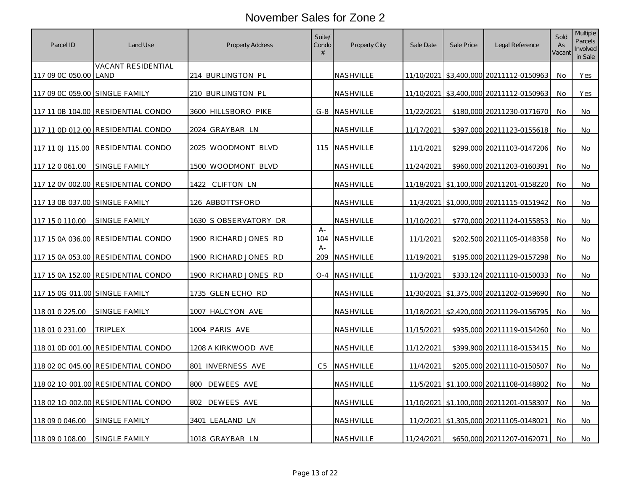| Parcel ID                      | Land Use                           | <b>Property Address</b> | Suite/<br>Condo<br># | Property City    | Sale Date  | Sale Price | Legal Reference                             | Sold<br>As<br>Vacant | Multiple<br>Parcels<br>Involved<br>in Sale |
|--------------------------------|------------------------------------|-------------------------|----------------------|------------------|------------|------------|---------------------------------------------|----------------------|--------------------------------------------|
| 117 09 0C 050.00 LAND          | VACANT RESIDENTIAL                 | 214 BURLINGTON PL       |                      | NASHVILLE        |            |            | 11/10/2021 \$3,400,000 20211112-0150963     | No.                  | Yes                                        |
| 117 09 0C 059.00 SINGLE FAMILY |                                    | 210 BURLINGTON PL       |                      | NASHVILLE        |            |            | 11/10/2021 \$3,400,000 20211112-0150963     | No                   | Yes                                        |
|                                | 117 11 0B 104.00 RESIDENTIAL CONDO | 3600 HILLSBORO PIKE     | G-8                  | NASHVILLE        | 11/22/2021 |            | \$180,000 20211230-0171670                  | No                   | No                                         |
|                                | 117 11 0D 012.00 RESIDENTIAL CONDO | 2024 GRAYBAR LN         |                      | NASHVILLE        | 11/17/2021 |            | \$397,000 20211123-0155618                  | <b>No</b>            | No                                         |
|                                | 117 11 0J 115.00 RESIDENTIAL CONDO | 2025 WOODMONT BLVD      |                      | 115 NASHVILLE    | 11/1/2021  |            | \$299.000 20211103-0147206                  | No.                  | No.                                        |
| 117 12 0 061.00                | SINGLE FAMILY                      | 1500 WOODMONT BLVD      |                      | NASHVILLE        | 11/24/2021 |            | \$960,000 20211203-0160391                  | <b>No</b>            | No                                         |
|                                | 117 12 0V 002.00 RESIDENTIAL CONDO | 1422<br>CLIFTON LN      |                      | NASHVILLE        |            |            | 11/18/2021   \$1,100,000   20211201-0158220 | No                   | No                                         |
| 117 13 0B 037.00 SINGLE FAMILY |                                    | 126 ABBOTTSFORD         |                      | NASHVILLE        |            |            | 11/3/2021 \$1,000,000 20211115-0151942      | No.                  | No                                         |
| 117 15 0 110.00                | SINGLE FAMILY                      | 1630 SOBSERVATORY DR    |                      | NASHVILLE        | 11/10/2021 |            | \$770,000 20211124-0155853                  | No                   | No                                         |
|                                | 117 15 0A 036.00 RESIDENTIAL CONDO | 1900 RICHARD JONES RD   | $A -$<br>104         | NASHVILLE        | 11/1/2021  |            | \$202,500 20211105-0148358                  | No.                  | No                                         |
|                                | 117 15 0A 053.00 RESIDENTIAL CONDO | 1900 RICHARD JONES RD   | $A -$<br>209         | <b>NASHVILLE</b> | 11/19/2021 |            | \$195,000 20211129-0157298                  | No                   | No                                         |
|                                | 117 15 0A 152.00 RESIDENTIAL CONDO | 1900 RICHARD JONES RD   | $O - 4$              | NASHVILLE        | 11/3/2021  |            | \$333,124 20211110-0150033                  | No                   | No                                         |
| 117 15 0G 011.00 SINGLE FAMILY |                                    | 1735 GLEN ECHO RD       |                      | NASHVILLE        |            |            | 11/30/2021 \$1,375,000 20211202-0159690     | No                   | No                                         |
| 118 01 0 225.00                | SINGLE FAMILY                      | 1007 HALCYON AVE        |                      | NASHVILLE        |            |            | 11/18/2021 \$2,420,000 20211129-0156795     | No                   | No                                         |
| 118 01 0 231.00                | TRIPLEX                            | 1004 PARIS AVE          |                      | NASHVILLE        | 11/15/2021 |            | \$935,000 20211119-0154260                  | No.                  | No                                         |
|                                | 118 01 0D 001.00 RESIDENTIAL CONDO | 1208 A KIRKWOOD AVE     |                      | NASHVILLE        | 11/12/2021 |            | \$399,900 20211118-0153415                  | No                   | No                                         |
|                                | 118 02 0C 045.00 RESIDENTIAL CONDO | 801 INVERNESS AVE       | C <sub>5</sub>       | <b>NASHVILLE</b> | 11/4/2021  |            | \$205,000 20211110-0150507                  | No                   | No                                         |
|                                | 118 02 10 001.00 RESIDENTIAL CONDO | 800<br>DEWEES AVE       |                      | NASHVILLE        |            |            | 11/5/2021 \$1,100,000 20211108-0148802      | No.                  | No                                         |
|                                | 118 02 10 002.00 RESIDENTIAL CONDO | DEWEES AVE<br>802       |                      | NASHVILLE        |            |            | 11/10/2021   \$1,100,000   20211201-0158307 | No                   | No.                                        |
| 118 09 0 046.00                | SINGLE FAMILY                      | 3401 LEALAND LN         |                      | NASHVILLE        |            |            | 11/2/2021 \$1,305,000 20211105-0148021      | No                   | No                                         |
| 118 09 0 108.00                | SINGLE FAMILY                      | 1018 GRAYBAR LN         |                      | NASHVILLE        | 11/24/2021 |            | \$650,000 20211207-0162071                  | No.                  | No                                         |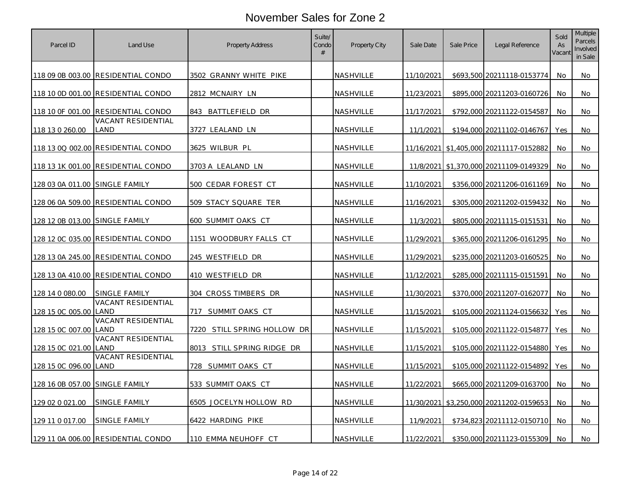| Parcel ID                      | Land Use                           | <b>Property Address</b>     | Suite/<br>Condo<br># | Property City    | Sale Date  | Sale Price | Legal Reference                         | Sold<br>As<br>Vacant | Multiple<br>Parcels<br>Involved<br>in Sale |
|--------------------------------|------------------------------------|-----------------------------|----------------------|------------------|------------|------------|-----------------------------------------|----------------------|--------------------------------------------|
|                                | 118 09 0B 003.00 RESIDENTIAL CONDO | 3502 GRANNY WHITE PIKE      |                      | <b>NASHVILLE</b> | 11/10/2021 |            | \$693,500 20211118-0153774              | No                   | No                                         |
|                                | 118 10 0D 001.00 RESIDENTIAL CONDO | 2812 MCNAIRY LN             |                      | NASHVILLE        | 11/23/2021 |            | \$895,000 20211203-0160726              | No                   | No                                         |
|                                | 118 10 OF 001.00 RESIDENTIAL CONDO | 843 BATTLEFIELD DR          |                      | NASHVILLE        | 11/17/2021 |            | \$792,000 20211122-0154587              | No                   | No                                         |
| 118 13 0 260.00                | <b>VACANT RESIDENTIAL</b><br>LAND  | 3727 LEALAND LN             |                      | NASHVILLE        | 11/1/2021  |            | \$194,000 20211102-0146767              | Yes                  | No                                         |
|                                | 118 13 0Q 002.00 RESIDENTIAL CONDO | 3625 WILBUR PL              |                      | NASHVILLE        |            |            | 11/16/2021 \$1,405,000 20211117-0152882 | No                   | No                                         |
|                                | 118 13 1K 001.00 RESIDENTIAL CONDO | 3703 A LEALAND LN           |                      | NASHVILLE        |            |            | 11/8/2021 \$1,370,000 20211109-0149329  | No.                  | No                                         |
| 128 03 0A 011.00 SINGLE FAMILY |                                    | 500 CEDAR FOREST CT         |                      | NASHVILLE        | 11/10/2021 |            | \$356,000 20211206-0161169              | No                   | No                                         |
|                                | 128 06 0A 509.00 RESIDENTIAL CONDO | 509 STACY SQUARE TER        |                      | NASHVILLE        | 11/16/2021 |            | \$305,000 20211202-0159432              | No                   | No.                                        |
|                                |                                    | 600 SUMMIT OAKS CT          |                      | NASHVILLE        | 11/3/2021  |            | \$805,000 20211115-0151531              | No                   | No                                         |
|                                | 128 12 0C 035.00 RESIDENTIAL CONDO | 1151 WOODBURY FALLS CT      |                      | NASHVILLE        | 11/29/2021 |            | \$365,000 20211206-0161295              | No                   | No                                         |
|                                |                                    | 245 WESTFIELD DR            |                      | <u>NASHVILLE</u> | 11/29/2021 |            | \$235,000 20211203-0160525              | No.                  | No.                                        |
|                                | 128 13 0A 410.00 RESIDENTIAL CONDO | 410 WESTFIELD DR            |                      | NASHVILLE        | 11/12/2021 |            | \$285,000 20211115-0151591              | No                   | No                                         |
| 128 14 0 080.00                | SINGLE FAMILY                      | 304 CROSS TIMBERS DR        |                      | NASHVILLE        | 11/30/2021 |            | \$370,000 20211207-0162077              | No                   | No                                         |
| 128 15 0C 005.00 LAND          | <b>VACANT RESIDENTIAL</b>          | 717 SUMMIT OAKS CT          |                      | NASHVILLE        | 11/15/2021 |            | \$105,000 20211124-0156632              | Yes                  | No                                         |
| 128 15 0C 007.00 LAND          | <b>VACANT RESIDENTIAL</b>          | 7220 STILL SPRING HOLLOW DR |                      | NASHVILLE        | 11/15/2021 |            | \$105,000 20211122-0154877              | Yes                  | No                                         |
| 128 15 0C 021.00 LAND          | <b>VACANT RESIDENTIAL</b>          | 8013 STILL SPRING RIDGE DR  |                      | NASHVILLE        | 11/15/2021 |            | \$105,000 20211122-0154880              | Yes                  | No                                         |
| 128 15 0C 096.00 LAND          | VACANT RESIDENTIAL                 | 728 SUMMIT OAKS CT          |                      | NASHVILLE        | 11/15/2021 |            | \$105,000 20211122-0154892              | Yes                  | No                                         |
| 128 16 0B 057.00 SINGLE FAMILY |                                    | 533 SUMMIT OAKS CT          |                      | NASHVILLE        | 11/22/2021 |            | \$665,000 20211209-0163700              | No                   | No                                         |
| 129 02 0 021.00                | SINGLE FAMILY                      | 6505 JOCELYN HOLLOW RD      |                      | NASHVILLE        |            |            | 11/30/2021 \$3,250,000 20211202-0159653 | No.                  | No                                         |
| 129 11 0 017.00                | SINGLE FAMILY                      | 6422 HARDING PIKE           |                      | NASHVILLE        | 11/9/2021  |            | \$734,823 20211112-0150710              | No                   | No                                         |
|                                | 129 11 0A 006.00 RESIDENTIAL CONDO | 110 EMMA NEUHOFF CT         |                      | NASHVILLE        | 11/22/2021 |            | \$350,000 20211123-0155309              | No                   | No                                         |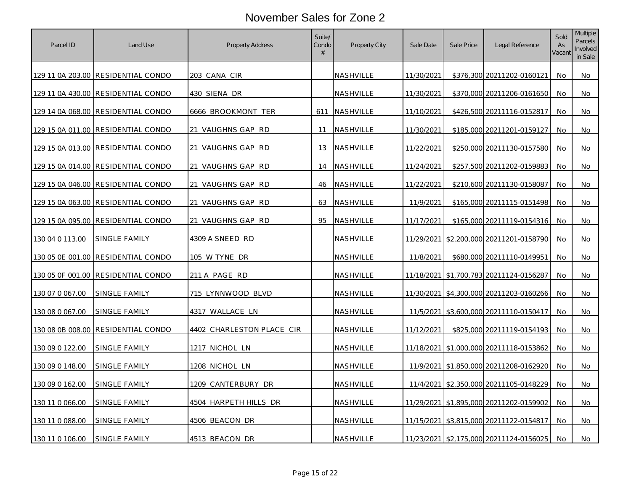| Parcel ID        | Land Use                           | <b>Property Address</b>   | Suite/<br>Condo<br># | Property City    | Sale Date  | Sale Price | Legal Reference                             | Sold<br>As<br>Vacant | Multiple<br>Parcels<br>Involved<br>in Sale |
|------------------|------------------------------------|---------------------------|----------------------|------------------|------------|------------|---------------------------------------------|----------------------|--------------------------------------------|
|                  | 129 11 0A 203.00 RESIDENTIAL CONDO | 203 CANA CIR              |                      | NASHVILLE        | 11/30/2021 |            | \$376,300 20211202-0160121                  | No                   | No                                         |
|                  | 129 11 0A 430.00 RESIDENTIAL CONDO | 430 SIENA DR              |                      | NASHVILLE        | 11/30/2021 |            | \$370,000 20211206-0161650                  | No.                  | No                                         |
|                  | 129 14 0A 068.00 RESIDENTIAL CONDO | 6666 BROOKMONT TER        | 611                  | NASHVILLE        | 11/10/2021 |            | \$426,500 20211116-0152817                  | No                   | No                                         |
|                  | 129 15 0A 011.00 RESIDENTIAL CONDO | 21 VAUGHNS GAP RD         | 11                   | NASHVILLE        | 11/30/2021 |            | \$185,000 20211201-0159127                  | No.                  | No                                         |
|                  | 129 15 0A 013.00 RESIDENTIAL CONDO | 21 VAUGHNS GAP RD         | 13                   | NASHVILLE        | 11/22/2021 |            | \$250,000 20211130-0157580                  | No                   | No                                         |
|                  | 129 15 0A 014.00 RESIDENTIAL CONDO | 21 VAUGHNS GAP RD         | 14                   | <b>NASHVILLE</b> | 11/24/2021 |            | \$257,500 20211202-0159883                  | No.                  | No                                         |
|                  | 129 15 0A 046.00 RESIDENTIAL CONDO | 21 VAUGHNS GAP RD         | 46                   | NASHVILLE        | 11/22/2021 |            | \$210,600 20211130-0158087                  | No                   | No                                         |
|                  | 129 15 0A 063.00 RESIDENTIAL CONDO | 21 VAUGHNS GAP RD         | 63                   | NASHVILLE        | 11/9/2021  |            | \$165,000 20211115-0151498                  | No                   | No                                         |
|                  | 129 15 0A 095.00 RESIDENTIAL CONDO | 21 VAUGHNS GAP RD         | 95                   | NASHVILLE        | 11/17/2021 |            | \$165,000 20211119-0154316                  | No.                  | No                                         |
| 130 04 0 113.00  | SINGLE FAMILY                      | 4309 A SNEED RD           |                      | NASHVILLE        |            |            | 11/29/2021 \$2,200,000 20211201-0158790     | No                   | No                                         |
|                  | 130 05 0E 001.00 RESIDENTIAL CONDO | <u>105 W TYNE DR</u>      |                      | <u>NASHVILLE</u> | 11/8/2021  |            | \$680,000 20211110-0149951                  | No                   | No                                         |
|                  | 130 05 OF 001.00 RESIDENTIAL CONDO | 211 A PAGE RD             |                      | NASHVILLE        |            |            | 11/18/2021 \$1,700,783 20211124-0156287     | No                   | No                                         |
| 130 07 0 067.00  | SINGLE FAMILY                      | 715 LYNNWOOD BLVD         |                      | NASHVILLE        |            |            | 11/30/2021 \$4,300,000 20211203-0160266     | No                   | No                                         |
| 130 08 0 067.00  | SINGLE FAMILY                      | 4317 WALLACE LN           |                      | NASHVILLE        |            |            | 11/5/2021 \$3,600,000 20211110-0150417      | No.                  | No                                         |
| 130 08 0B 008.00 | RESIDENTIAL CONDO                  | 4402 CHARLESTON PLACE CIR |                      | NASHVILLE        | 11/12/2021 |            | \$825,000 20211119-0154193                  | No                   | No                                         |
| 130 09 0 122.00  | SINGLE FAMILY                      | 1217 NICHOL LN            |                      | NASHVILLE        |            |            | 11/18/2021   \$1,000,000   20211118-0153862 | No                   | No                                         |
| 130 09 0 148.00  | SINGLE FAMILY                      | 1208 NICHOL LN            |                      | NASHVILLE        |            |            | 11/9/2021 \$1,850,000 20211208-0162920      | No                   | No                                         |
| 130 09 0 162.00  | SINGLE FAMILY                      | 1209 CANTERBURY DR        |                      | NASHVILLE        |            |            | 11/4/2021 \$2,350,000 20211105-0148229      | No                   | No                                         |
| 130 11 0 066.00  | SINGLE FAMILY                      | 4504 HARPETH HILLS DR     |                      | NASHVILLE        |            |            | 11/29/2021 \$1,895,000 20211202-0159902     | No                   | No                                         |
| 130 11 0 088.00  | SINGLE FAMILY                      | 4506 BEACON DR            |                      | NASHVILLE        |            |            | 11/15/2021 \$3,815,000 20211122-0154817     | <b>No</b>            | No                                         |
| 130 11 0 106.00  | SINGLE FAMILY                      | 4513 BEACON DR            |                      | NASHVILLE        |            |            | 11/23/2021 \$2,175,000 20211124-0156025     | No.                  | No                                         |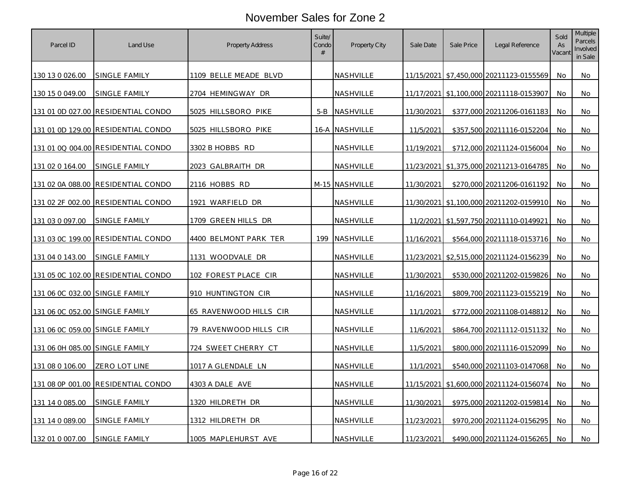| Parcel ID                      | Land Use                           | <b>Property Address</b> | Suite/<br>Condo<br># | Property City    | Sale Date  | Sale Price | Legal Reference                             | Sold<br>As<br>Vacant | <b>Multiple</b><br>Parcels<br>Involved<br>in Sale |
|--------------------------------|------------------------------------|-------------------------|----------------------|------------------|------------|------------|---------------------------------------------|----------------------|---------------------------------------------------|
| 130 13 0 026.00                | SINGLE FAMILY                      | 1109 BELLE MEADE BLVD   |                      | NASHVILLE        |            |            | 11/15/2021 \$7,450,000 20211123-0155569     | No.                  | No                                                |
| 130 15 0 049.00                | SINGLE FAMILY                      | 2704 HEMINGWAY DR       |                      | NASHVILLE        |            |            | 11/17/2021 \$1,100,000 20211118-0153907     | No.                  | No                                                |
|                                | 131 01 0D 027.00 RESIDENTIAL CONDO | 5025 HILLSBORO PIKE     | $5 - B$              | NASHVILLE        | 11/30/2021 |            | \$377,000 20211206-0161183                  | No                   | No                                                |
|                                | 131 01 0D 129.00 RESIDENTIAL CONDO | 5025 HILLSBORO PIKE     | 16-A                 | <b>NASHVILLE</b> | 11/5/2021  |            | \$357,500 20211116-0152204                  | No                   | No                                                |
|                                | 131 01 0Q 004.00 RESIDENTIAL CONDO | 3302 B HOBBS RD         |                      | NASHVILLE        | 11/19/2021 |            | \$712,000 20211124-0156004                  | No                   | No                                                |
| 131 02 0 164.00                | <u>SINGLE FAMILY</u>               | 2023 GALBRAITH DR       |                      | NASHVILLE        |            |            | 11/23/2021 \$1,375,000 20211213-0164785     | No                   | No                                                |
|                                | 131 02 0A 088.00 RESIDENTIAL CONDO | 2116 HOBBS RD           |                      | M-15 NASHVILLE   | 11/30/2021 |            | \$270,000 20211206-0161192                  | No.                  | No                                                |
|                                | 131 02 2F 002.00 RESIDENTIAL CONDO | 1921 WARFIELD DR        |                      | NASHVILLE        |            |            | 11/30/2021   \$1,100,000   20211202-0159910 | No                   | No                                                |
| 131 03 0 097.00                | SINGLE FAMILY                      | 1709 GREEN HILLS DR     |                      | NASHVILLE        |            |            | 11/2/2021 \$1,597,750 20211110-0149921      | No.                  | No                                                |
|                                | 131 03 0C 199.00 RESIDENTIAL CONDO | 4400 BELMONT PARK TER   | 199                  | NASHVILLE        | 11/16/2021 |            | \$564,000 20211118-0153716                  | No                   | No                                                |
| 131 04 0 143.00                | <u>SINGLE FAMILY</u>               | 1131 WOODVALE DR        |                      | <u>NASHVILLE</u> |            |            | 11/23/2021 \$2,515,000 20211124-0156239     | No                   | No.                                               |
|                                | 131 05 0C 102.00 RESIDENTIAL CONDO | 102 FOREST PLACE CIR    |                      | NASHVILLE        | 11/30/2021 |            | \$530,000 20211202-0159826                  | No                   | No                                                |
| 131 06 0C 032.00 SINGLE FAMILY |                                    | 910 HUNTINGTON CIR      |                      | NASHVILLE        | 11/16/2021 |            | \$809,700 20211123-0155219                  | No                   | No                                                |
| 131 06 0C 052.00 SINGLE FAMILY |                                    | 65 RAVENWOOD HILLS CIR  |                      | NASHVILLE        | 11/1/2021  |            | \$772,000 20211108-0148812                  | No                   | No                                                |
| 131 06 0C 059.00 SINGLE FAMILY |                                    | 79 RAVENWOOD HILLS CIR  |                      | NASHVILLE        | 11/6/2021  |            | \$864,700 20211112-0151132                  | No                   | No                                                |
| 131 06 0H 085.00 SINGLE FAMILY |                                    | 724 SWEET CHERRY CT     |                      | NASHVILLE        | 11/5/2021  |            | \$800,000 20211116-0152099                  | No                   | No                                                |
| 131 08 0 106.00                | ZERO LOT LINE                      | 1017 A GLENDALE LN      |                      | NASHVILLE        | 11/1/2021  |            | \$540,000 20211103-0147068                  | No                   | No                                                |
|                                | 131 08 0P 001.00 RESIDENTIAL CONDO | 4303 A DALE AVE         |                      | NASHVILLE        |            |            | 11/15/2021 \$1,600,000 20211124-0156074     | No                   | No                                                |
| 131 14 0 085.00                | SINGLE FAMILY                      | 1320 HILDRETH DR        |                      | NASHVILLE        | 11/30/2021 |            | \$975,000 20211202-0159814                  | No                   | No                                                |
| 131 14 0 089.00                | SINGLE FAMILY                      | 1312 HILDRETH DR        |                      | NASHVILLE        | 11/23/2021 |            | \$970,200 20211124-0156295                  | No                   | No                                                |
| 132 01 0 007.00                | SINGLE FAMILY                      | 1005 MAPLEHURST AVE     |                      | NASHVILLE        | 11/23/2021 |            | \$490,000 20211124-0156265                  | No                   | No                                                |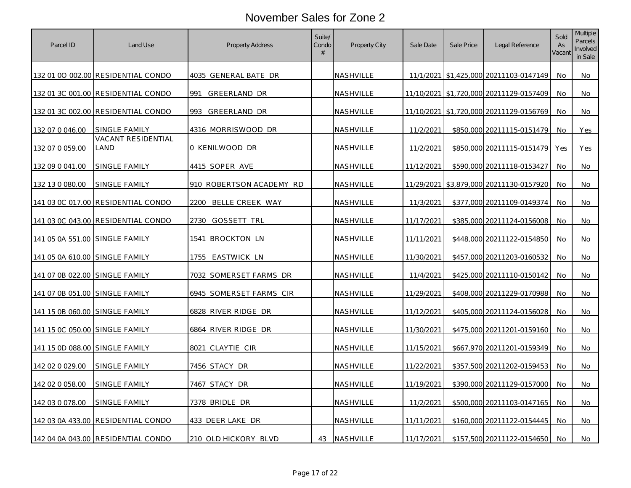| Parcel ID                             | Land Use                           | Property Address           | Suite/<br>Condo<br># | Property City    | Sale Date  | Sale Price | Legal Reference                         | Sold<br>As<br>Vacant | Multiple<br>Parcels<br>Involved<br>in Sale |
|---------------------------------------|------------------------------------|----------------------------|----------------------|------------------|------------|------------|-----------------------------------------|----------------------|--------------------------------------------|
|                                       | 132 01 00 002.00 RESIDENTIAL CONDO | 4035 GENERAL BATE DR       |                      | NASHVILLE        |            |            | 11/1/2021 \$1,425,000 20211103-0147149  | No                   | No                                         |
|                                       | 132 01 3C 001.00 RESIDENTIAL CONDO | 991<br><b>GREERLAND DR</b> |                      | NASHVILLE        |            |            | 11/10/2021 \$1,720,000 20211129-0157409 | No                   | No                                         |
|                                       | 132 01 3C 002.00 RESIDENTIAL CONDO | GREERLAND DR<br>993        |                      | NASHVILLE        |            |            | 11/10/2021 \$1,720,000 20211129-0156769 | No.                  | No                                         |
| 132 07 0 046.00                       | SINGLE FAMILY                      | 4316 MORRISWOOD DR         |                      | NASHVILLE        | 11/2/2021  |            | \$850,000 20211115-0151479              | No                   | Yes                                        |
| 132 07 0 059.00                       | <b>VACANT RESIDENTIAL</b><br>LAND  | 0 KENILWOOD DR             |                      | NASHVILLE        | 11/2/2021  |            | \$850,000 20211115-0151479              | Yes                  | Yes                                        |
| 132 09 0 041.00                       | SINGLE FAMILY                      | 4415 SOPER AVE             |                      | <b>NASHVILLE</b> | 11/12/2021 |            | \$590,000 20211118-0153427              | No.                  | No                                         |
| 132 13 0 080.00                       | SINGLE FAMILY                      | 910 ROBERTSON ACADEMY RD   |                      | NASHVILLE        |            |            | 11/29/2021 \$3,879,000 20211130-0157920 | No                   | No                                         |
|                                       | 141 03 0C 017.00 RESIDENTIAL CONDO | 2200<br>BELLE CREEK WAY    |                      | NASHVILLE        | 11/3/2021  |            | \$377,000 20211109-0149374              | No                   | No                                         |
|                                       | 141 03 0C 043.00 RESIDENTIAL CONDO | 2730<br>GOSSETT TRL        |                      | NASHVILLE        | 11/17/2021 |            | \$385,000 20211124-0156008              | No.                  | No                                         |
| 141 05 0A 551.00 SINGLE FAMILY        |                                    | 1541 BROCKTON LN           |                      | NASHVILLE        | 11/11/2021 |            | \$448,000 20211122-0154850              | No                   | No                                         |
| <u>141 05 0A 610.00 SINGLE FAMILY</u> |                                    | EASTWICK LN<br>1755.       |                      | <u>NASHVILLE</u> | 11/30/2021 |            | \$457,000 20211203-0160532              | No.                  | No.                                        |
| 141 07 0B 022.00 SINGLE FAMILY        |                                    | 7032 SOMERSET FARMS DR     |                      | NASHVILLE        | 11/4/2021  |            | \$425,000 20211110-0150142              | No                   | No                                         |
| 141 07 0B 051.00 SINGLE FAMILY        |                                    | 6945 SOMERSET FARMS CIR    |                      | NASHVILLE        | 11/29/2021 |            | \$408,000 20211229-0170988              | No                   | No                                         |
| 141 15 0B 060.00 SINGLE FAMILY        |                                    | 6828 RIVER RIDGE DR        |                      | NASHVILLE        | 11/12/2021 |            | \$405,000 20211124-0156028              | No                   | No                                         |
| 141 15 0C 050.00 SINGLE FAMILY        |                                    | 6864 RIVER RIDGE DR        |                      | NASHVILLE        | 11/30/2021 |            | \$475,000 20211201-0159160              | No                   | No                                         |
| 141 15 0D 088.00 SINGLE FAMILY        |                                    | 8021 CLAYTIE CIR           |                      | NASHVILLE        | 11/15/2021 |            | \$667,970 20211201-0159349              | No                   | No                                         |
| 142 02 0 029.00                       | SINGLE FAMILY                      | 7456 STACY DR              |                      | NASHVILLE        | 11/22/2021 |            | \$357,500 20211202-0159453              | No.                  | No                                         |
| 142 02 0 058.00                       | <u>SINGLE FAMILY</u>               | 7467 STACY DR              |                      | NASHVILLE        | 11/19/2021 |            | \$390,000 20211129-0157000              | No                   | No                                         |
| 142 03 0 078.00                       | SINGLE FAMILY                      | 7378 BRIDLE DR             |                      | NASHVILLE        | 11/2/2021  |            | \$500,000 20211103-0147165              | No                   | No                                         |
|                                       | 142 03 0A 433.00 RESIDENTIAL CONDO | 433 DEER LAKE DR           |                      | NASHVILLE        | 11/11/2021 |            | \$160,000 20211122-0154445              | No                   | No                                         |
|                                       | 142 04 0A 043.00 RESIDENTIAL CONDO | 210 OLD HICKORY BLVD       | 43                   | NASHVILLE        | 11/17/2021 |            | \$157,500 20211122-0154650              | No                   | No                                         |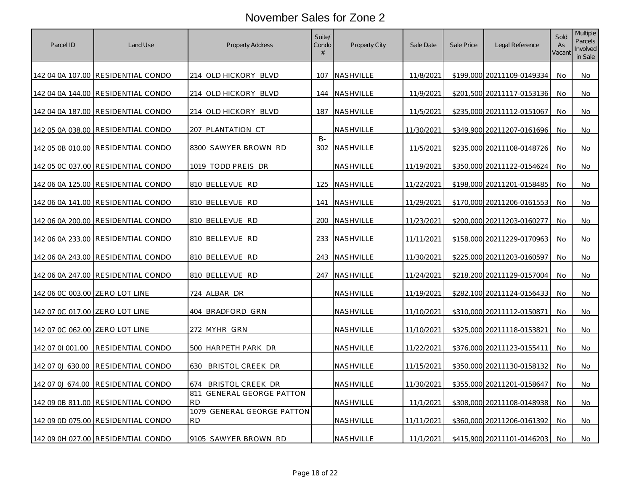| Parcel ID                      | Land Use                           | <b>Property Address</b>                 | Suite/<br>Condo<br># | <b>Property City</b> | Sale Date  | Sale Price | Legal Reference            | Sold<br>As<br>Vacant | <b>Multiple</b><br>Parcels<br>Involved<br>in Sale |
|--------------------------------|------------------------------------|-----------------------------------------|----------------------|----------------------|------------|------------|----------------------------|----------------------|---------------------------------------------------|
|                                | 142 04 0A 107.00 RESIDENTIAL CONDO | 214 OLD HICKORY BLVD                    | 107                  | <b>NASHVILLE</b>     | 11/8/2021  |            | \$199,000 20211109-0149334 | No                   | No                                                |
|                                | 142 04 0A 144.00 RESIDENTIAL CONDO | 214 OLD HICKORY BLVD                    | 144                  | NASHVILLE            | 11/9/2021  |            | \$201,500 20211117-0153136 | No.                  | No                                                |
|                                | 142 04 0A 187.00 RESIDENTIAL CONDO | 214 OLD HICKORY BLVD                    | 187                  | NASHVILLE            | 11/5/2021  |            | \$235,000 20211112-0151067 | No                   | No                                                |
|                                | 142 05 0A 038.00 RESIDENTIAL CONDO | 207 PLANTATION CT                       |                      | NASHVILLE            | 11/30/2021 |            | \$349,900 20211207-0161696 | No.                  | No                                                |
|                                | 142 05 0B 010.00 RESIDENTIAL CONDO | 8300 SAWYER BROWN RD                    | $B -$<br>302         | NASHVILLE            | 11/5/2021  |            | \$235,000 20211108-0148726 | No                   | No                                                |
|                                | 142 05 0C 037.00 RESIDENTIAL CONDO | 1019 TODD PREIS DR                      |                      | <u>NASHVILLE</u>     | 11/19/2021 |            | \$350,000 20211122-0154624 | No.                  | No                                                |
|                                | 142 06 0A 125.00 RESIDENTIAL CONDO | 810 BELLEVUE RD                         | 125                  | NASHVILLE            | 11/22/2021 |            | \$198,000 20211201-0158485 | No                   | No                                                |
|                                | 142 06 0A 141.00 RESIDENTIAL CONDO | 810 BELLEVUE RD                         | 141                  | NASHVILLE            | 11/29/2021 |            | \$170,000 20211206-0161553 | No                   | No                                                |
|                                | 142 06 0A 200.00 RESIDENTIAL CONDO | 810 BELLEVUE RD                         | 200                  | <b>NASHVILLE</b>     | 11/23/2021 |            | \$200,000 20211203-0160277 | No                   | No                                                |
|                                | 142 06 0A 233.00 RESIDENTIAL CONDO | 810 BELLEVUE RD                         | 233                  | NASHVILLE            | 11/11/2021 |            | \$158,000 20211229-0170963 | No                   | No                                                |
|                                | 142 06 0A 243.00 RESIDENTIAL CONDO | 810 BELLEVUE RD                         | 243                  | <b>NASHVILLE</b>     | 11/30/2021 |            | \$225,000 20211203-0160597 | No                   | No                                                |
|                                | 142 06 0A 247.00 RESIDENTIAL CONDO | 810 BELLEVUE RD                         | 247                  | NASHVILLE            | 11/24/2021 |            | \$218,200 20211129-0157004 | No                   | No                                                |
| 142 06 0C 003.00 ZERO LOT LINE |                                    | 724 ALBAR DR                            |                      | NASHVILLE            | 11/19/2021 |            | \$282,100 20211124-0156433 | No                   | No                                                |
| 142 07 OC 017.00 ZERO LOT LINE |                                    | 404 BRADFORD GRN                        |                      | NASHVILLE            | 11/10/2021 |            | \$310,000 20211112-0150871 | No.                  | No                                                |
| 142 07 0C 062.00 ZERO LOT LINE |                                    | 272 MYHR GRN                            |                      | NASHVILLE            | 11/10/2021 |            | \$325,000 20211118-0153821 | No                   | No                                                |
| 142 07 01 001.00               | RESIDENTIAL CONDO                  | 500 HARPETH PARK DR                     |                      | NASHVILLE            | 11/22/2021 |            | \$376,000 20211123-0155411 | No                   | No                                                |
| 142 07 0J 630.00               | RESIDENTIAL CONDO                  | <b>BRISTOL CREEK DR</b><br>630          |                      | <b>NASHVILLE</b>     | 11/15/2021 |            | \$350,000 20211130-0158132 | No                   | No                                                |
| 142 07 0J 674.00               | <b>RESIDENTIAL CONDO</b>           | <b>BRISTOL CREEK DR</b><br>674          |                      | NASHVILLE            | 11/30/2021 |            | \$355,000 20211201-0158647 | No                   | No                                                |
|                                | 142 09 0B 811.00 RESIDENTIAL CONDO | 811 GENERAL GEORGE PATTON<br><b>RD</b>  |                      | NASHVILLE            | 11/1/2021  |            | \$308,000 20211108-0148938 | No                   | No                                                |
|                                | 142 09 0D 075.00 RESIDENTIAL CONDO | 1079 GENERAL GEORGE PATTON<br><b>RD</b> |                      | NASHVILLE            | 11/11/2021 |            | \$360,000 20211206-0161392 | No                   | No                                                |
|                                | 142 09 0H 027.00 RESIDENTIAL CONDO | 9105 SAWYER BROWN RD                    |                      | NASHVILLE            | 11/1/2021  |            | \$415,900 20211101-0146203 | No.                  | No                                                |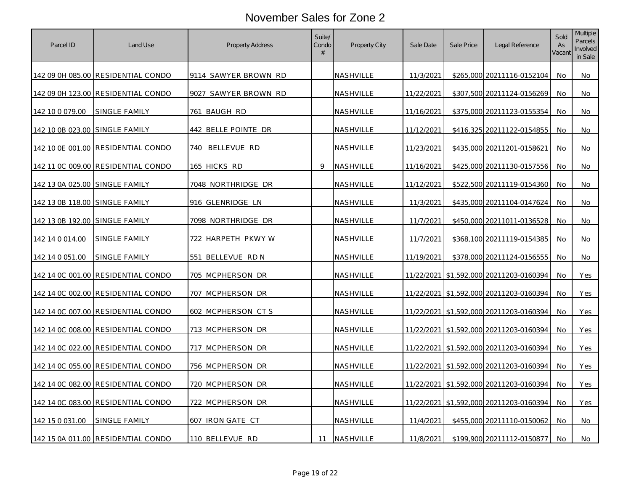| Parcel ID                      | Land Use                           | <b>Property Address</b> | Suite/<br>Condo<br># | Property City    | Sale Date  | Sale Price | Legal Reference                         | Sold<br>As<br>Vacant | Multiple<br>Parcels<br>Involved<br>in Sale |
|--------------------------------|------------------------------------|-------------------------|----------------------|------------------|------------|------------|-----------------------------------------|----------------------|--------------------------------------------|
|                                | 142 09 0H 085.00 RESIDENTIAL CONDO | 9114 SAWYER BROWN RD    |                      | NASHVILLE        | 11/3/2021  |            | \$265,000 20211116-0152104              | No                   | No                                         |
|                                | 142 09 0H 123.00 RESIDENTIAL CONDO | 9027 SAWYER BROWN RD    |                      | NASHVILLE        | 11/22/2021 |            | \$307,500 20211124-0156269              | No.                  | No                                         |
| 142 10 0 079.00                | SINGLE FAMILY                      | 761 BAUGH RD            |                      | NASHVILLE        | 11/16/2021 |            | \$375,000 20211123-0155354              | No                   | No                                         |
| 142 10 0B 023.00 SINGLE FAMILY |                                    | 442 BELLE POINTE DR     |                      | NASHVILLE        | 11/12/2021 |            | \$416,325 20211122-0154855              | No.                  | No                                         |
|                                | 142 10 0E 001.00 RESIDENTIAL CONDO | 740 BELLEVUE RD         |                      | NASHVILLE        | 11/23/2021 |            | \$435,000 20211201-0158621              | No                   | No                                         |
|                                | 142 11 0C 009.00 RESIDENTIAL CONDO | <u>165 HICKS RD</u>     | 9                    | <b>NASHVILLE</b> | 11/16/2021 |            | \$425,000 20211130-0157556              | No.                  | No                                         |
| 142 13 0A 025.00 SINGLE FAMILY |                                    | 7048 NORTHRIDGE DR      |                      | NASHVILLE        | 11/12/2021 |            | \$522,500 20211119-0154360              | No                   | No                                         |
| 142 13 0B 118.00 SINGLE FAMILY |                                    | 916 GLENRIDGE LN        |                      | NASHVILLE        | 11/3/2021  |            | \$435,000 20211104-0147624              | No                   | No                                         |
| 142 13 0B 192.00 SINGLE FAMILY |                                    | 7098 NORTHRIDGE DR      |                      | NASHVILLE        | 11/7/2021  |            | \$450,000 20211011-0136528              | No                   | No                                         |
| 142 14 0 014 00                | SINGLE FAMILY                      | 722 HARPETH PKWY W      |                      | NASHVILLE        | 11/7/2021  |            | \$368,100 20211119-0154385              | No                   | No                                         |
| 142 14 0 051.00                | SINGLE FAMILY                      | 551 BELLEVUE RD N       |                      | <u>NASHVILLE</u> | 11/19/2021 |            | \$378,000 20211124-0156555              | No                   | No                                         |
|                                | 142 14 0C 001.00 RESIDENTIAL CONDO | 705 MCPHERSON DR        |                      | NASHVILLE        |            |            | 11/22/2021 \$1,592,000 20211203-0160394 | No                   | Yes                                        |
|                                | 142 14 0C 002.00 RESIDENTIAL CONDO | 707 MCPHERSON DR        |                      | NASHVILLE        |            |            | 11/22/2021 \$1,592,000 20211203-0160394 | No                   | Yes                                        |
|                                | 142 14 0C 007.00 RESIDENTIAL CONDO | 602 MCPHERSON CTS       |                      | NASHVILLE        |            |            | 11/22/2021 \$1,592,000 20211203-0160394 | No.                  | Yes                                        |
|                                | 142 14 0C 008.00 RESIDENTIAL CONDO | 713 MCPHERSON DR        |                      | NASHVILLE        |            |            | 11/22/2021 \$1,592,000 20211203-0160394 | No                   | Yes                                        |
|                                | 142 14 0C 022.00 RESIDENTIAL CONDO | 717 MCPHERSON DR        |                      | NASHVILLE        |            |            | 11/22/2021 \$1,592,000 20211203-0160394 | No                   | Yes                                        |
|                                | 142 14 0C 055.00 RESIDENTIAL CONDO | 756 MCPHERSON DR        |                      | <b>NASHVILLE</b> |            |            | 11/22/2021 \$1,592,000 20211203-0160394 | No                   | Yes                                        |
|                                | 142 14 0C 082.00 RESIDENTIAL CONDO | 720 MCPHERSON DR        |                      | NASHVILLE        |            |            | 11/22/2021 \$1,592,000 20211203-0160394 | No.                  | Yes                                        |
|                                | 142 14 0C 083.00 RESIDENTIAL CONDO | 722 MCPHERSON DR        |                      | NASHVILLE        |            |            | 11/22/2021 \$1,592,000 20211203-0160394 | No                   | Yes                                        |
| 142 15 0 031.00                | SINGLE FAMILY                      | 607 IRON GATE CT        |                      | NASHVILLE        | 11/4/2021  |            | \$455,000 20211110-0150062              | <b>No</b>            | No                                         |
|                                | 142 15 0A 011.00 RESIDENTIAL CONDO | 110 BELLEVUE RD         | 11                   | NASHVILLE        | 11/8/2021  |            | \$199,900 20211112-0150877              | No.                  | No                                         |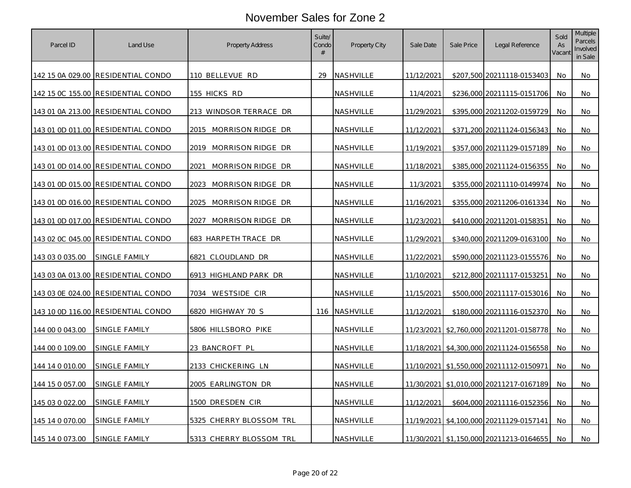| Parcel ID       | Land Use                           | <b>Property Address</b>    | Suite/<br>Condo<br># | Property City    | Sale Date  | Sale Price | Legal Reference                             | Sold<br>As<br>Vacant | Multiple<br>Parcels<br>Involved<br>in Sale |
|-----------------|------------------------------------|----------------------------|----------------------|------------------|------------|------------|---------------------------------------------|----------------------|--------------------------------------------|
|                 | 142 15 0A 029.00 RESIDENTIAL CONDO | 110 BELLEVUE RD            | 29                   | <b>NASHVILLE</b> | 11/12/2021 |            | \$207,500 20211118-0153403                  | No.                  | No                                         |
|                 | 142 15 0C 155.00 RESIDENTIAL CONDO | 155 HICKS RD               |                      | NASHVILLE        | 11/4/2021  |            | \$236,000 20211115-0151706                  | No                   | No                                         |
|                 | 143 01 0A 213.00 RESIDENTIAL CONDO | 213 WINDSOR TERRACE DR     |                      | NASHVILLE        | 11/29/2021 |            | \$395,000 20211202-0159729                  | No                   | No                                         |
|                 | 143 01 0D 011.00 RESIDENTIAL CONDO | 2015 MORRISON RIDGE DR     |                      | NASHVILLE        | 11/12/2021 |            | \$371,200 20211124-0156343                  | No                   | No                                         |
|                 | 143 01 0D 013.00 RESIDENTIAL CONDO | 2019 MORRISON RIDGE DR     |                      | NASHVILLE        | 11/19/2021 |            | \$357,000 20211129-0157189                  | No                   | No                                         |
|                 | 143 01 0D 014.00 RESIDENTIAL CONDO | MORRISON RIDGE DR<br>2021  |                      | <u>NASHVILLE</u> | 11/18/2021 |            | \$385,000 20211124-0156355                  | No                   | No                                         |
|                 | 143 01 0D 015.00 RESIDENTIAL CONDO | 2023.<br>MORRISON RIDGE DR |                      | NASHVILLE        | 11/3/2021  |            | \$355,000 20211110-0149974                  | No.                  | No                                         |
|                 | 143 01 0D 016.00 RESIDENTIAL CONDO | 2025 MORRISON RIDGE DR     |                      | NASHVILLE        | 11/16/2021 |            | \$355,000 20211206-0161334                  | No.                  | No                                         |
|                 | 143 01 0D 017.00 RESIDENTIAL CONDO | MORRISON RIDGE DR<br>2027  |                      | NASHVILLE        | 11/23/2021 |            | \$410,000 20211201-0158351                  | No                   | No                                         |
|                 | 143 02 0C 045.00 RESIDENTIAL CONDO | 683 HARPETH TRACE DR       |                      | NASHVILLE        | 11/29/2021 |            | \$340,000 20211209-0163100                  | No                   | No                                         |
| 143 03 0 035.00 | <u>SINGLE FAMILY</u>               | 6821 CLOUDLAND DR          |                      | <u>NASHVILLE</u> | 11/22/2021 |            | \$590,000 20211123-0155576                  | No.                  | No                                         |
|                 | 143 03 0A 013.00 RESIDENTIAL CONDO | 6913 HIGHLAND PARK DR      |                      | NASHVILLE        | 11/10/2021 |            | \$212,800 20211117-0153251                  | No                   | No                                         |
|                 | 143 03 0E 024.00 RESIDENTIAL CONDO | 7034 WESTSIDE CIR          |                      | NASHVILLE        | 11/15/2021 |            | \$500,000 20211117-0153016                  | No                   | No                                         |
|                 | 143 10 0D 116.00 RESIDENTIAL CONDO | 6820 HIGHWAY 70 S          | 116                  | <b>NASHVILLE</b> | 11/12/2021 |            | \$180,000 20211116-0152370                  | No                   | No                                         |
| 144 00 0 043.00 | SINGLE FAMILY                      | 5806 HILLSBORO PIKE        |                      | NASHVILLE        |            |            | 11/23/2021 \$2,760,000 20211201-0158778     | No                   | No                                         |
| 144 00 0 109.00 | SINGLE FAMILY                      | 23 BANCROFT PL             |                      | NASHVILLE        |            |            | 11/18/2021   \$4,300,000   20211124-0156558 | No                   | No                                         |
| 144 14 0 010.00 | SINGLE FAMILY                      | 2133 CHICKERING LN         |                      | NASHVILLE        |            |            | 11/10/2021 \$1,550,000 20211112-0150971     | No                   | No                                         |
| 144 15 0 057.00 | SINGLE FAMILY                      | 2005 EARLINGTON DR         |                      | NASHVILLE        |            |            | 11/30/2021 \$1,010,000 20211217-0167189     | No                   | No                                         |
| 145 03 0 022.00 | SINGLE FAMILY                      | 1500 DRESDEN CIR           |                      | NASHVILLE        | 11/12/2021 |            | \$604,000 20211116-0152356                  | No                   | No                                         |
| 145 14 0 070.00 | SINGLE FAMILY                      | 5325 CHERRY BLOSSOM TRL    |                      | NASHVILLE        |            |            | 11/19/2021 \$4,100,000 20211129-0157141     | No                   | No                                         |
| 145 14 0 073.00 | SINGLE FAMILY                      | 5313 CHERRY BLOSSOM TRL    |                      | NASHVILLE        |            |            | 11/30/2021 \$1,150,000 20211213-0164655     | No                   | No                                         |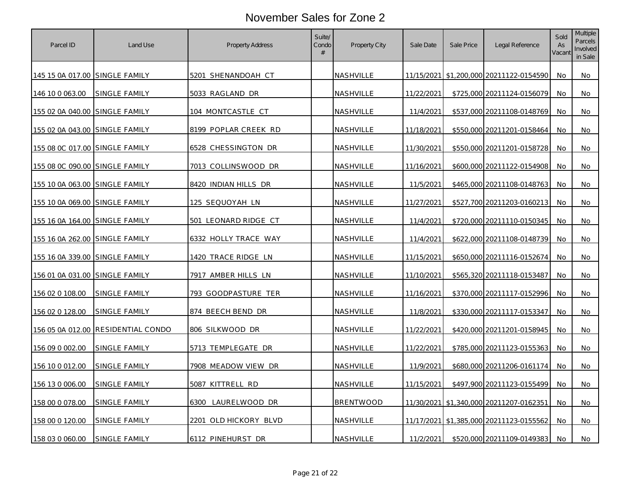| Parcel ID                             | Land Use                           | <b>Property Address</b> | Suite/<br>Condo<br># | <b>Property City</b> | Sale Date  | Sale Price | Legal Reference                             | Sold<br>As<br>Vacant | Multiple<br>Parcels<br>Involved<br>in Sale |
|---------------------------------------|------------------------------------|-------------------------|----------------------|----------------------|------------|------------|---------------------------------------------|----------------------|--------------------------------------------|
| 145 15 0A 017.00 SINGLE FAMILY        |                                    | 5201 SHENANDOAH CT      |                      | NASHVILLE            |            |            | 11/15/2021 \$1.200.000 20211122-0154590     | No.                  | No                                         |
| 146 10 0 063.00                       | SINGLE FAMILY                      | 5033 RAGLAND DR         |                      | NASHVILLE            | 11/22/2021 |            | \$725,000 20211124-0156079                  | No.                  | No                                         |
| 155 02 0A 040.00 SINGLE FAMILY        |                                    | 104 MONTCASTLE CT       |                      | NASHVILLE            | 11/4/2021  |            | \$537,000 20211108-0148769                  | No                   | No                                         |
| 155 02 0A 043.00 SINGLE FAMILY        |                                    | 8199 POPLAR CREEK RD    |                      | NASHVILLE            | 11/18/2021 |            | \$550,000 20211201-0158464                  | No                   | No                                         |
| 155 08 OC 017.00 SINGLE FAMILY        |                                    | 6528 CHESSINGTON DR     |                      | NASHVILLE            | 11/30/2021 |            | \$550,000 20211201-0158728                  | No                   | No.                                        |
| 155 08 0C 090.00 SINGLE FAMILY        |                                    | 7013 COLLINSWOOD DR     |                      | NASHVILLE            | 11/16/2021 |            | \$600,000 20211122-0154908                  | No                   | No                                         |
| 155 10 0A 063.00 SINGLE FAMILY        |                                    | 8420 INDIAN HILLS DR    |                      | <u>NASHVILLE</u>     | 11/5/2021  |            | \$465,000 20211108-0148763                  | No                   | No.                                        |
| 155 10 0A 069.00 SINGLE FAMILY        |                                    | 125 SEQUOYAH LN         |                      | NASHVILLE            | 11/27/2021 |            | \$527,700 20211203-0160213                  | No                   | No                                         |
| 155 16 0A 164.00 SINGLE FAMILY        |                                    | 501 LEONARD RIDGE CT    |                      | NASHVILLE            | 11/4/2021  |            | \$720,000 20211110-0150345                  | No                   | No                                         |
| 155 16 0A 262.00 SINGLE FAMILY        |                                    | 6332 HOLLY TRACE WAY    |                      | NASHVILLE            | 11/4/2021  |            | \$622,000 20211108-0148739                  | No.                  | No                                         |
| 155 16 0A 339.00 SINGLE FAMILY        |                                    | 1420 TRACE RIDGE LN     |                      | NASHVILLE            | 11/15/2021 |            | \$650,000 20211116-0152674                  | No                   | No                                         |
| <u>156 01 0A 031.00 SINGLE FAMILY</u> |                                    | 7917 AMBER HILLS LN     |                      | NASHVILLE            | 11/10/2021 |            | \$565,320 20211118-0153487                  | No                   | No                                         |
| 156 02 0 108.00                       | SINGLE FAMILY                      | 793 GOODPASTURE TER     |                      | NASHVILLE            | 11/16/2021 |            | \$370,000 20211117-0152996                  | No                   | No                                         |
| 156 02 0 128.00                       | SINGLE FAMILY                      | 874 BEECH BEND DR       |                      | NASHVILLE            | 11/8/2021  |            | \$330,000 20211117-0153347                  | No                   | No                                         |
|                                       | 156 05 0A 012.00 RESIDENTIAL CONDO | 806 SILKWOOD DR         |                      | NASHVILLE            | 11/22/2021 |            | \$420,000 20211201-0158945                  | No                   | No                                         |
| 156 09 0 002.00                       | SINGLE FAMILY                      | 5713 TEMPLEGATE DR      |                      | NASHVILLE            | 11/22/2021 |            | \$785,000 20211123-0155363                  | No                   | No                                         |
| 156 10 0 012.00                       | SINGLE FAMILY                      | 7908 MEADOW VIEW DR     |                      | NASHVILLE            | 11/9/2021  |            | \$680,000 20211206-0161174                  | No                   | No                                         |
| 156 13 0 006.00                       | <b>SINGLE FAMILY</b>               | 5087 KITTRELL RD        |                      | NASHVILLE            | 11/15/2021 |            | \$497,900 20211123-0155499                  | No                   | No                                         |
| 158 00 0 078.00                       | SINGLE FAMILY                      | 6300<br>LAURELWOOD DR   |                      | <b>BRENTWOOD</b>     |            |            | 11/30/2021   \$1,340,000   20211207-0162351 | No                   | No                                         |
| 158 00 0 120.00                       | SINGLE FAMILY                      | 2201 OLD HICKORY BLVD   |                      | NASHVILLE            |            |            | 11/17/2021 \$1,385,000 20211123-0155562     | No                   | No                                         |
| 158 03 0 060.00                       | SINGLE FAMILY                      | 6112 PINEHURST DR       |                      | NASHVILLE            | 11/2/2021  |            | \$520,000 20211109-0149383                  | No                   | No                                         |